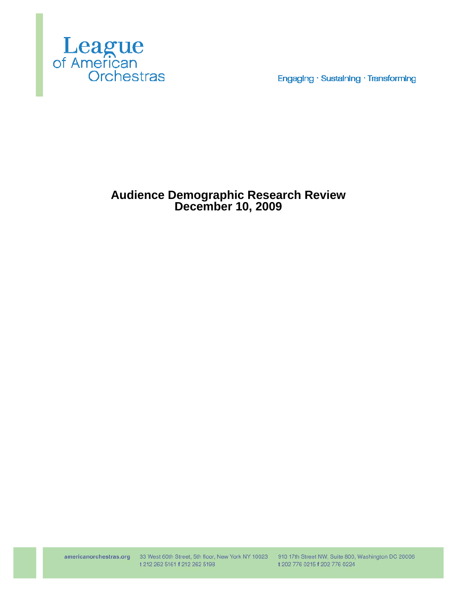

Engaging · Sustaining · Transforming

# **Audience Demographic Research Review December 10, 2009**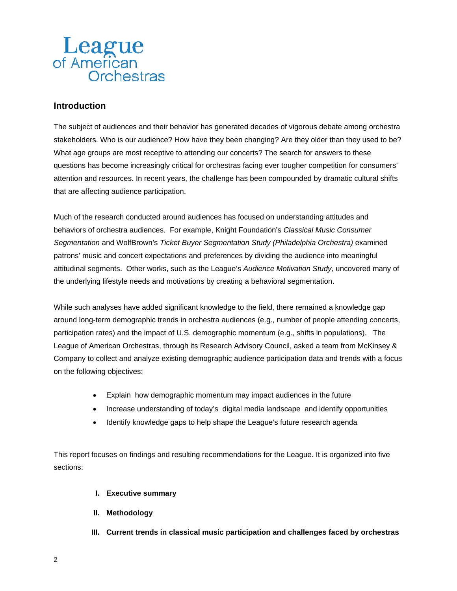# **Introduction**

The subject of audiences and their behavior has generated decades of vigorous debate among orchestra stakeholders. Who is our audience? How have they been changing? Are they older than they used to be? What age groups are most receptive to attending our concerts? The search for answers to these questions has become increasingly critical for orchestras facing ever tougher competition for consumers' attention and resources. In recent years, the challenge has been compounded by dramatic cultural shifts that are affecting audience participation.

Much of the research conducted around audiences has focused on understanding attitudes and behaviors of orchestra audiences. For example, Knight Foundation's *Classical Music Consumer Segmentation* and WolfBrown's *Ticket Buyer Segmentation Study (Philadelphia Orchestra)* examined patrons' music and concert expectations and preferences by dividing the audience into meaningful attitudinal segments. Other works, such as the League's *Audience Motivation Study,* uncovered many of the underlying lifestyle needs and motivations by creating a behavioral segmentation.

While such analyses have added significant knowledge to the field, there remained a knowledge gap around long-term demographic trends in orchestra audiences (e.g., number of people attending concerts, participation rates) and the impact of U.S. demographic momentum (e.g., shifts in populations). The League of American Orchestras, through its Research Advisory Council, asked a team from McKinsey & Company to collect and analyze existing demographic audience participation data and trends with a focus on the following objectives:

- Explain how demographic momentum may impact audiences in the future
- Increase understanding of today's digital media landscape and identify opportunities
- Identify knowledge gaps to help shape the League's future research agenda

This report focuses on findings and resulting recommendations for the League. It is organized into five sections:

- **I. Executive summary**
- **II. Methodology**
- **III. Current trends in classical music participation and challenges faced by orchestras**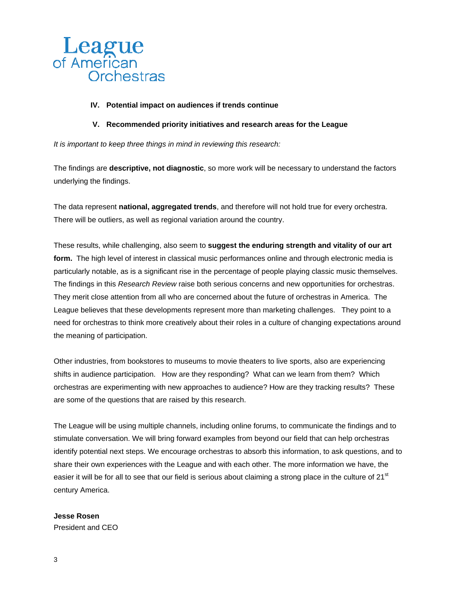

#### **IV. Potential impact on audiences if trends continue**

#### **V. Recommended priority initiatives and research areas for the League**

*It is important to keep three things in mind in reviewing this research:*

The findings are **descriptive, not diagnostic**, so more work will be necessary to understand the factors underlying the findings.

The data represent **national, aggregated trends**, and therefore will not hold true for every orchestra. There will be outliers, as well as regional variation around the country.

These results, while challenging, also seem to **suggest the enduring strength and vitality of our art form.** The high level of interest in classical music performances online and through electronic media is particularly notable, as is a significant rise in the percentage of people playing classic music themselves. The findings in this *Research Review* raise both serious concerns and new opportunities for orchestras. They merit close attention from all who are concerned about the future of orchestras in America. The League believes that these developments represent more than marketing challenges. They point to a need for orchestras to think more creatively about their roles in a culture of changing expectations around the meaning of participation.

Other industries, from bookstores to museums to movie theaters to live sports, also are experiencing shifts in audience participation. How are they responding? What can we learn from them? Which orchestras are experimenting with new approaches to audience? How are they tracking results? These are some of the questions that are raised by this research.

The League will be using multiple channels, including online forums, to communicate the findings and to stimulate conversation. We will bring forward examples from beyond our field that can help orchestras identify potential next steps. We encourage orchestras to absorb this information, to ask questions, and to share their own experiences with the League and with each other. The more information we have, the easier it will be for all to see that our field is serious about claiming a strong place in the culture of  $21^{st}$ century America.

#### **Jesse Rosen**

President and CEO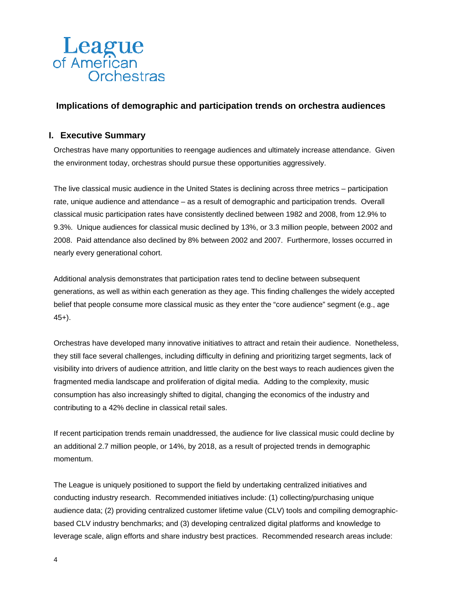

# **Implications of demographic and participation trends on orchestra audiences**

## **I. Executive Summary**

Orchestras have many opportunities to reengage audiences and ultimately increase attendance. Given the environment today, orchestras should pursue these opportunities aggressively.

The live classical music audience in the United States is declining across three metrics – participation rate, unique audience and attendance – as a result of demographic and participation trends. Overall classical music participation rates have consistently declined between 1982 and 2008, from 12.9% to 9.3%. Unique audiences for classical music declined by 13%, or 3.3 million people, between 2002 and 2008. Paid attendance also declined by 8% between 2002 and 2007. Furthermore, losses occurred in nearly every generational cohort.

Additional analysis demonstrates that participation rates tend to decline between subsequent generations, as well as within each generation as they age. This finding challenges the widely accepted belief that people consume more classical music as they enter the "core audience" segment (e.g., age 45+).

Orchestras have developed many innovative initiatives to attract and retain their audience. Nonetheless, they still face several challenges, including difficulty in defining and prioritizing target segments, lack of visibility into drivers of audience attrition, and little clarity on the best ways to reach audiences given the fragmented media landscape and proliferation of digital media. Adding to the complexity, music consumption has also increasingly shifted to digital, changing the economics of the industry and contributing to a 42% decline in classical retail sales.

If recent participation trends remain unaddressed, the audience for live classical music could decline by an additional 2.7 million people, or 14%, by 2018, as a result of projected trends in demographic momentum.

The League is uniquely positioned to support the field by undertaking centralized initiatives and conducting industry research. Recommended initiatives include: (1) collecting/purchasing unique audience data; (2) providing centralized customer lifetime value (CLV) tools and compiling demographicbased CLV industry benchmarks; and (3) developing centralized digital platforms and knowledge to leverage scale, align efforts and share industry best practices. Recommended research areas include: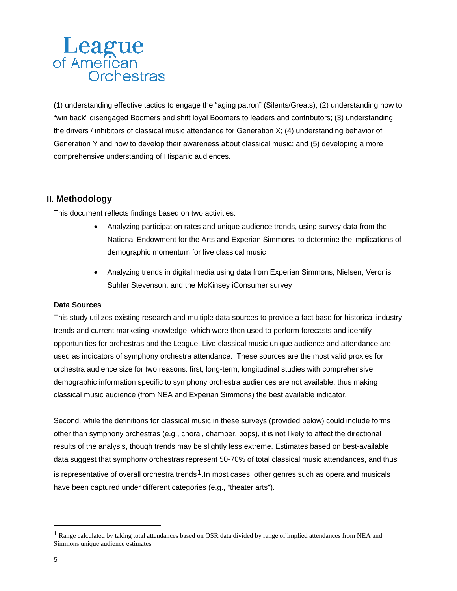(1) understanding effective tactics to engage the "aging patron" (Silents/Greats); (2) understanding how to "win back" disengaged Boomers and shift loyal Boomers to leaders and contributors; (3) understanding the drivers / inhibitors of classical music attendance for Generation X; (4) understanding behavior of Generation Y and how to develop their awareness about classical music; and (5) developing a more comprehensive understanding of Hispanic audiences.

# **II. Methodology**

This document reflects findings based on two activities:

- Analyzing participation rates and unique audience trends, using survey data from the National Endowment for the Arts and Experian Simmons, to determine the implications of demographic momentum for live classical music
- Analyzing trends in digital media using data from Experian Simmons, Nielsen, Veronis Suhler Stevenson, and the McKinsey iConsumer survey

#### **Data Sources**

This study utilizes existing research and multiple data sources to provide a fact base for historical industry trends and current marketing knowledge, which were then used to perform forecasts and identify opportunities for orchestras and the League. Live classical music unique audience and attendance are used as indicators of symphony orchestra attendance. These sources are the most valid proxies for orchestra audience size for two reasons: first, long-term, longitudinal studies with comprehensive demographic information specific to symphony orchestra audiences are not available, thus making classical music audience (from NEA and Experian Simmons) the best available indicator.

Second, while the definitions for classical music in these surveys (provided below) could include forms other than symphony orchestras (e.g., choral, chamber, pops), it is not likely to affect the directional results of the analysis, though trends may be slightly less extreme. Estimates based on best-available data suggest that symphony orchestras represent 50-70% of total classical music attendances, and thus is representative of overall orchestra trends<sup>[1](#page-4-0)</sup>. In most cases, other genres such as opera and musicals have been captured under different categories (e.g., "theater arts").

<span id="page-4-0"></span><sup>&</sup>lt;sup>1</sup> Range calculated by taking total attendances based on OSR data divided by range of implied attendances from NEA and Simmons unique audience estimates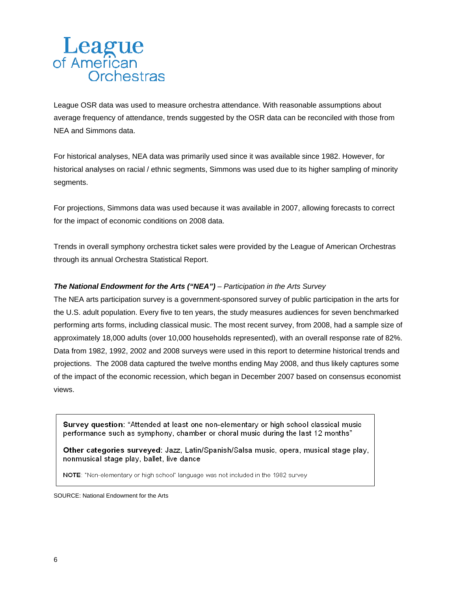League OSR data was used to measure orchestra attendance. With reasonable assumptions about average frequency of attendance, trends suggested by the OSR data can be reconciled with those from NEA and Simmons data.

For historical analyses, NEA data was primarily used since it was available since 1982. However, for historical analyses on racial / ethnic segments, Simmons was used due to its higher sampling of minority segments.

For projections, Simmons data was used because it was available in 2007, allowing forecasts to correct for the impact of economic conditions on 2008 data.

Trends in overall symphony orchestra ticket sales were provided by the League of American Orchestras through its annual Orchestra Statistical Report.

### *The National Endowment for the Arts ("NEA") – Participation in the Arts Survey*

The NEA arts participation survey is a government-sponsored survey of public participation in the arts for the U.S. adult population. Every five to ten years, the study measures audiences for seven benchmarked performing arts forms, including classical music. The most recent survey, from 2008, had a sample size of approximately 18,000 adults (over 10,000 households represented), with an overall response rate of 82%. Data from 1982, 1992, 2002 and 2008 surveys were used in this report to determine historical trends and projections. The 2008 data captured the twelve months ending May 2008, and thus likely captures some of the impact of the economic recession, which began in December 2007 based on consensus economist views.

Survey question: "Attended at least one non-elementary or high school classical music performance such as symphony, chamber or choral music during the last 12 months"

Other categories surveyed: Jazz, Latin/Spanish/Salsa music, opera, musical stage play, nonmusical stage play, ballet, live dance

NOTE: "Non-elementary or high school" language was not included in the 1982 survey

SOURCE: National Endowment for the Arts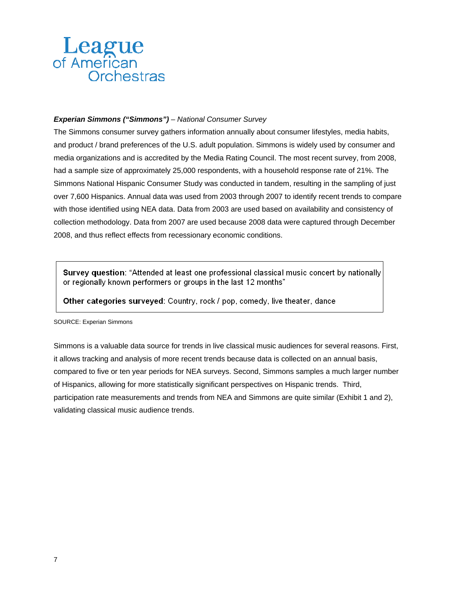### *Experian Simmons ("Simmons") – National Consumer Survey*

The Simmons consumer survey gathers information annually about consumer lifestyles, media habits, and product / brand preferences of the U.S. adult population. Simmons is widely used by consumer and media organizations and is accredited by the Media Rating Council. The most recent survey, from 2008, had a sample size of approximately 25,000 respondents, with a household response rate of 21%. The Simmons National Hispanic Consumer Study was conducted in tandem, resulting in the sampling of just over 7,600 Hispanics. Annual data was used from 2003 through 2007 to identify recent trends to compare with those identified using NEA data. Data from 2003 are used based on availability and consistency of collection methodology. Data from 2007 are used because 2008 data were captured through December 2008, and thus reflect effects from recessionary economic conditions.

Survey question: "Attended at least one professional classical music concert by nationally or regionally known performers or groups in the last 12 months"

Other categories surveyed: Country, rock / pop, comedy, live theater, dance

SOURCE: Experian Simmons

Simmons is a valuable data source for trends in live classical music audiences for several reasons. First, it allows tracking and analysis of more recent trends because data is collected on an annual basis, compared to five or ten year periods for NEA surveys. Second, Simmons samples a much larger number of Hispanics, allowing for more statistically significant perspectives on Hispanic trends. Third, participation rate measurements and trends from NEA and Simmons are quite similar (Exhibit 1 and 2), validating classical music audience trends.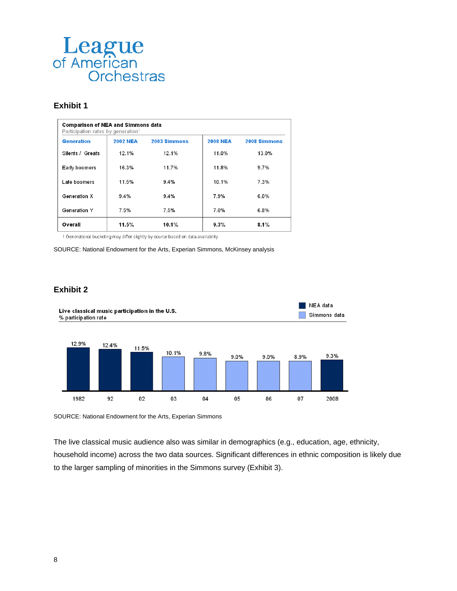

#### **Exhibit 1**

| <b>Comparison of NEA and Simmons data</b><br>Participation rates by generation <sup>1</sup> |                 |              |                 |              |  |  |
|---------------------------------------------------------------------------------------------|-----------------|--------------|-----------------|--------------|--|--|
| Generation                                                                                  | <b>2002 NEA</b> | 2003 Simmons | <b>2008 NEA</b> | 2008 Simmons |  |  |
| Silents / Greats                                                                            | 12.1%           | 12.1%        | 11.0%           | 13.0%        |  |  |
| Early boomers                                                                               | 16.3%           | 11.7%        | 11.8%           | 9.7%         |  |  |
| Late boomers                                                                                | 11.5%           | 9.4%         | 10.1%           | 7.3%         |  |  |
| Generation X                                                                                | $9.4\%$         | $9.4\%$      | 7.9%            | 6.0%         |  |  |
| Generation Y                                                                                | 7.5%            | $7.5\%$      | 7.0%            | 6.8%         |  |  |
| Overall                                                                                     | 11.5%           | 10.1%        | 9.3%            | 8.1%         |  |  |

1 Generational bucketing may differ slightly by source based on data availability

SOURCE: National Endowment for the Arts, Experian Simmons, McKinsey analysis

#### **Exhibit 2**



SOURCE: National Endowment for the Arts, Experian Simmons

The live classical music audience also was similar in demographics (e.g., education, age, ethnicity, household income) across the two data sources. Significant differences in ethnic composition is likely due to the larger sampling of minorities in the Simmons survey (Exhibit 3).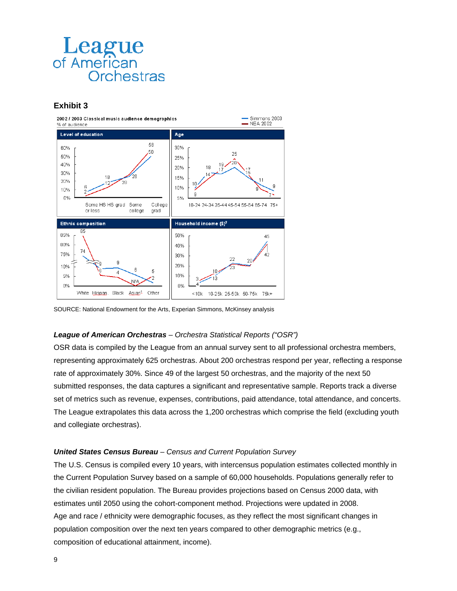

### **Exhibit 3**



SOURCE: National Endowment for the Arts, Experian Simmons, McKinsey analysis

#### *League of American Orchestras – Orchestra Statistical Reports ("OSR")*

OSR data is compiled by the League from an annual survey sent to all professional orchestra members, representing approximately 625 orchestras. About 200 orchestras respond per year, reflecting a response rate of approximately 30%. Since 49 of the largest 50 orchestras, and the majority of the next 50 submitted responses, the data captures a significant and representative sample. Reports track a diverse set of metrics such as revenue, expenses, contributions, paid attendance, total attendance, and concerts. The League extrapolates this data across the 1,200 orchestras which comprise the field (excluding youth and collegiate orchestras).

#### *United States Census Bureau – Census and Current Population Survey*

The U.S. Census is compiled every 10 years, with intercensus population estimates collected monthly in the Current Population Survey based on a sample of 60,000 households. Populations generally refer to the civilian resident population. The Bureau provides projections based on Census 2000 data, with estimates until 2050 using the cohort-component method. Projections were updated in 2008. Age and race / ethnicity were demographic focuses, as they reflect the most significant changes in population composition over the next ten years compared to other demographic metrics (e.g., composition of educational attainment, income).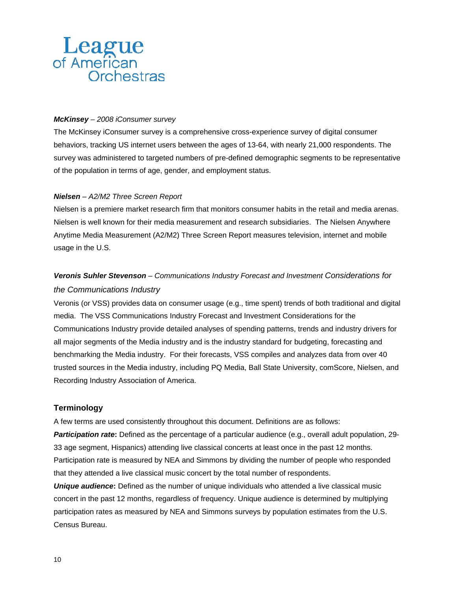### *McKinsey – 2008 iConsumer survey*

The McKinsey iConsumer survey is a comprehensive cross-experience survey of digital consumer behaviors, tracking US internet users between the ages of 13-64, with nearly 21,000 respondents. The survey was administered to targeted numbers of pre-defined demographic segments to be representative of the population in terms of age, gender, and employment status.

#### *Nielsen – A2/M2 Three Screen Report*

Nielsen is a premiere market research firm that monitors consumer habits in the retail and media arenas. Nielsen is well known for their media measurement and research subsidiaries. The Nielsen Anywhere Anytime Media Measurement (A2/M2) Three Screen Report measures television, internet and mobile usage in the U.S.

# *Veronis Suhler Stevenson – Communications Industry Forecast and Investment Considerations for the Communications Industry*

Veronis (or VSS) provides data on consumer usage (e.g., time spent) trends of both traditional and digital media. The VSS Communications Industry Forecast and Investment Considerations for the Communications Industry provide detailed analyses of spending patterns, trends and industry drivers for all major segments of the Media industry and is the industry standard for budgeting, forecasting and benchmarking the Media industry. For their forecasts, VSS compiles and analyzes data from over 40 trusted sources in the Media industry, including PQ Media, Ball State University, comScore, Nielsen, and Recording Industry Association of America.

### **Terminology**

A few terms are used consistently throughout this document. Definitions are as follows:

*Participation rate***:** Defined as the percentage of a particular audience (e.g., overall adult population, 29- 33 age segment, Hispanics) attending live classical concerts at least once in the past 12 months. Participation rate is measured by NEA and Simmons by dividing the number of people who responded that they attended a live classical music concert by the total number of respondents.

*Unique audience***:** Defined as the number of unique individuals who attended a live classical music concert in the past 12 months, regardless of frequency. Unique audience is determined by multiplying participation rates as measured by NEA and Simmons surveys by population estimates from the U.S. Census Bureau.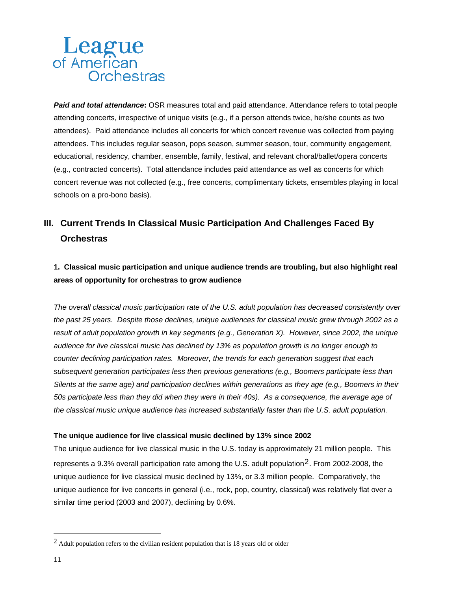*Paid and total attendance***:** OSR measures total and paid attendance. Attendance refers to total people attending concerts, irrespective of unique visits (e.g., if a person attends twice, he/she counts as two attendees). Paid attendance includes all concerts for which concert revenue was collected from paying attendees. This includes regular season, pops season, summer season, tour, community engagement, educational, residency, chamber, ensemble, family, festival, and relevant choral/ballet/opera concerts (e.g., contracted concerts). Total attendance includes paid attendance as well as concerts for which concert revenue was not collected (e.g., free concerts, complimentary tickets, ensembles playing in local schools on a pro-bono basis).

# **III. Current Trends In Classical Music Participation And Challenges Faced By Orchestras**

# **1. Classical music participation and unique audience trends are troubling, but also highlight real areas of opportunity for orchestras to grow audience**

*The overall classical music participation rate of the U.S. adult population has decreased consistently over the past 25 years. Despite those declines, unique audiences for classical music grew through 2002 as a result of adult population growth in key segments (e.g., Generation X). However, since 2002, the unique audience for live classical music has declined by 13% as population growth is no longer enough to counter declining participation rates. Moreover, the trends for each generation suggest that each subsequent generation participates less then previous generations (e.g., Boomers participate less than Silents at the same age) and participation declines within generations as they age (e.g., Boomers in their 50s participate less than they did when they were in their 40s). As a consequence, the average age of the classical music unique audience has increased substantially faster than the U.S. adult population.* 

#### **The unique audience for live classical music declined by 13% since 2002**

The unique audience for live classical music in the U.S. today is approximately 21 million people. This represents a 9.3% overall participation rate among the U.S. adult population<sup>[2](#page-10-0)</sup>. From 2002-2008, the unique audience for live classical music declined by 13%, or 3.3 million people. Comparatively, the unique audience for live concerts in general (i.e., rock, pop, country, classical) was relatively flat over a similar time period (2003 and 2007), declining by 0.6%.

 $\overline{a}$ 

<span id="page-10-0"></span><sup>2</sup> Adult population refers to the civilian resident population that is 18 years old or older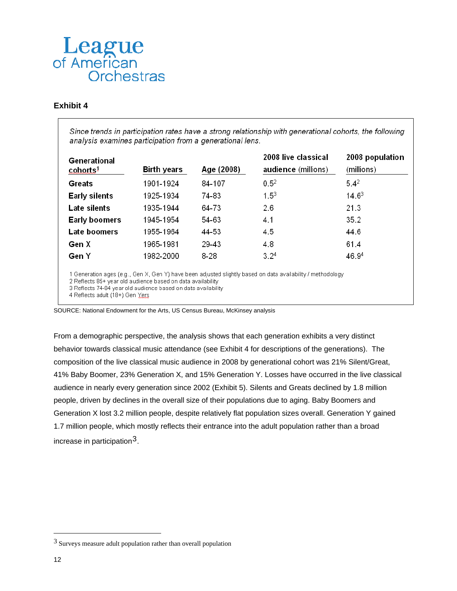### **Exhibit 4**

Since trends in participation rates have a strong relationship with generational cohorts, the following analysis examines participation from a generational lens.

| Generational<br>cohorts <sup>1</sup> | <b>Birth years</b> | Age (2008) | 2008 live classical<br>audience (millions) | 2008 population<br>(millions) |
|--------------------------------------|--------------------|------------|--------------------------------------------|-------------------------------|
| Greats                               | 1901-1924          | 84-107     | $0.5^2$                                    | $5.4^2$                       |
| <b>Early silents</b>                 | 1925-1934          | 74-83      | $1.5^{3}$                                  | $14.6^3$                      |
| Late silents                         | 1935-1944          | 64-73      | 2.6                                        | 21.3                          |
| <b>Early boomers</b>                 | 1945-1954          | 54-63      | 4.1                                        | 35.2                          |
| Late boomers                         | 1955-1964          | 44-53      | 4.5                                        | 44.6                          |
| Gen X                                | 1965-1981          | 29-43      | 4.8                                        | 61.4                          |
| Gen Y                                | 1982-2000          | 8-28       | 3.2 <sup>4</sup>                           | 46.94                         |
|                                      |                    |            |                                            |                               |

1 Generation ages (e.g., Gen X, Gen Y) have been adjusted slightly based on data availability / methodology

2 Reflects 85+ year old audience based on data availability

3 Reflects 74-84 year old audience based on data availability

4 Reflects adult (18+) Gen Yers

SOURCE: National Endowment for the Arts, US Census Bureau, McKinsey analysis

From a demographic perspective, the analysis shows that each generation exhibits a very distinct behavior towards classical music attendance (see Exhibit 4 for descriptions of the generations). The composition of the live classical music audience in 2008 by generational cohort was 21% Silent/Great, 41% Baby Boomer, 23% Generation X, and 15% Generation Y. Losses have occurred in the live classical audience in nearly every generation since 2002 (Exhibit 5). Silents and Greats declined by 1.8 million people, driven by declines in the overall size of their populations due to aging. Baby Boomers and Generation X lost 3.2 million people, despite relatively flat population sizes overall. Generation Y gained 1.7 million people, which mostly reflects their entrance into the adult population rather than a broad increase in participation[3](#page-11-0).

 $\overline{a}$ 

<span id="page-11-0"></span><sup>3</sup> Surveys measure adult population rather than overall population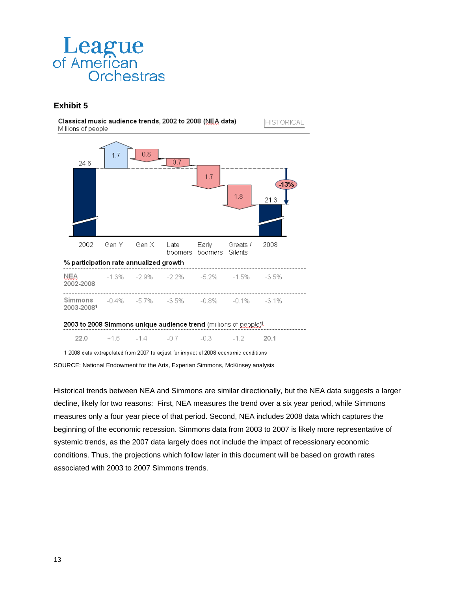

### **Exhibit 5**

Classical music audience trends, 2002 to 2008 (NEA data) Millions of people





1 2008 data extrapolated from 2007 to adjust for impact of 2008 economic conditions

SOURCE: National Endowment for the Arts, Experian Simmons, McKinsey analysis

Historical trends between NEA and Simmons are similar directionally, but the NEA data suggests a larger decline, likely for two reasons: First, NEA measures the trend over a six year period, while Simmons measures only a four year piece of that period. Second, NEA includes 2008 data which captures the beginning of the economic recession. Simmons data from 2003 to 2007 is likely more representative of systemic trends, as the 2007 data largely does not include the impact of recessionary economic conditions. Thus, the projections which follow later in this document will be based on growth rates associated with 2003 to 2007 Simmons trends.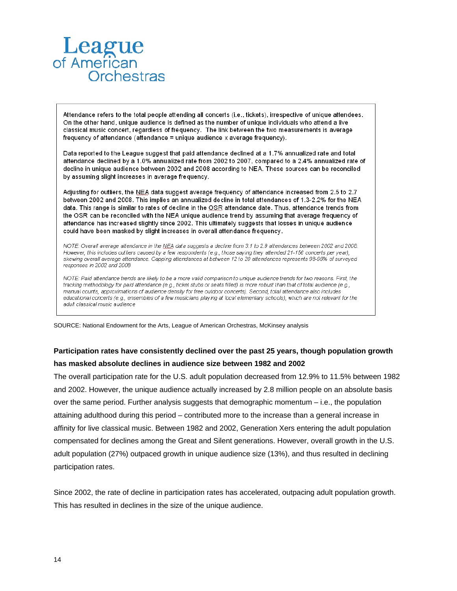Attendance refers to the total people attending all concerts (i.e., tickets), irrespective of unique attendees. On the other hand, unique audience is defined as the number of unique individuals who attend a live classical music concert, regardless of frequency. The link between the two measurements is average frequency of attendance (attendance = unique audience x average frequency).

Data reported to the League suggest that paid attendance declined at a 1.7% annualized rate and total attendance declined by a 1.0% annualized rate from 2002 to 2007, compared to a 2.4% annualized rate of decline in unique audience between 2002 and 2008 according to NEA. These sources can be reconciled by assuming slight increases in average frequency.

Adjusting for outliers, the NEA data suggest average frequency of attendance increased from 2.5 to 2.7 between 2002 and 2008. This implies an annualized decline in total attendances of 1.3-2.2% for the NEA data. This range is similar to rates of decline in the OSR attendance date. Thus, attendance trends from the OSR can be reconciled with the NEA unique audience trend by assuming that average frequency of attendance has increased slightly since 2002. This ultimately suggests that losses in unique audience could have been masked by slight increases in overall attendance frequency.

NOTE: Overall average attendance in the NEA data suggests a decline from 3.1 to 2.9 attendances between 2002 and 2008. However, this includes outliers caused by a few respondents (e.g., those saying they attended 21-156 concerts per year), skewing overall average attendance. Capping attendances at between 12 to 20 attendances represents 98-99% of surveyed responses in 2002 and 2008

NOTE: Paid attendance trends are likely to be a more valid comparison to unique audience trends for two reasons. First, the tracking methodology for paid attendance (e.g., ticket stubs or seats filled) is more robust than that of total audience (e.g., manual counts, approximations of audience density for free outdoor concerts). Second, total attendance also includes educational concerts (e.g., ensembles of a few musicians playing at local elementary schools), which are not relevant for the adult classical music audience

SOURCE: National Endowment for the Arts, League of American Orchestras, McKinsey analysis

# **Participation rates have consistently declined over the past 25 years, though population growth has masked absolute declines in audience size between 1982 and 2002**

The overall participation rate for the U.S. adult population decreased from 12.9% to 11.5% between 1982 and 2002. However, the unique audience actually increased by 2.8 million people on an absolute basis over the same period. Further analysis suggests that demographic momentum – i.e., the population attaining adulthood during this period – contributed more to the increase than a general increase in affinity for live classical music. Between 1982 and 2002, Generation Xers entering the adult population compensated for declines among the Great and Silent generations. However, overall growth in the U.S. adult population (27%) outpaced growth in unique audience size (13%), and thus resulted in declining participation rates.

Since 2002, the rate of decline in participation rates has accelerated, outpacing adult population growth. This has resulted in declines in the size of the unique audience.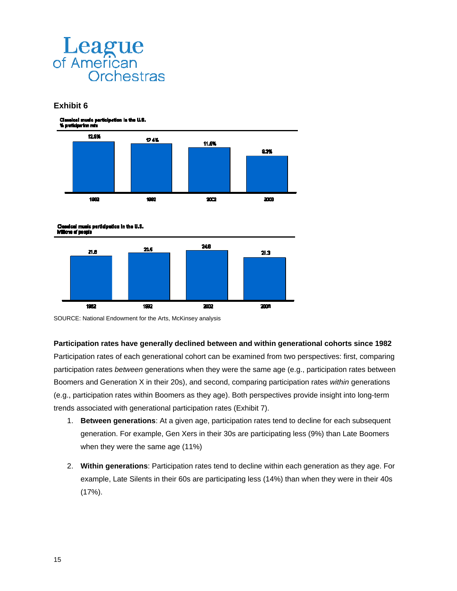

### **Exhibit 6**







SOURCE: National Endowment for the Arts, McKinsey analysis

#### **Participation rates have generally declined between and within generational cohorts since 1982**

Participation rates of each generational cohort can be examined from two perspectives: first, comparing participation rates *between* generations when they were the same age (e.g., participation rates between Boomers and Generation X in their 20s), and second, comparing participation rates *within* generations (e.g., participation rates within Boomers as they age). Both perspectives provide insight into long-term trends associated with generational participation rates (Exhibit 7).

- 1. **Between generations**: At a given age, participation rates tend to decline for each subsequent generation. For example, Gen Xers in their 30s are participating less (9%) than Late Boomers when they were the same age (11%)
- 2. **Within generations**: Participation rates tend to decline within each generation as they age. For example, Late Silents in their 60s are participating less (14%) than when they were in their 40s (17%).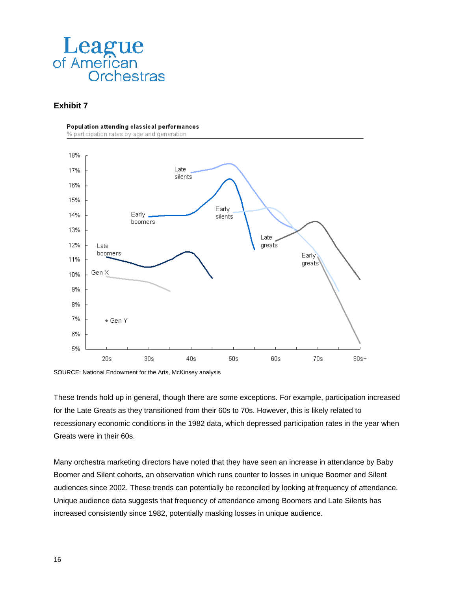

### **Exhibit 7**

Population attending classical performances

% participation rates by age and generation



SOURCE: National Endowment for the Arts, McKinsey analysis

These trends hold up in general, though there are some exceptions. For example, participation increased for the Late Greats as they transitioned from their 60s to 70s. However, this is likely related to recessionary economic conditions in the 1982 data, which depressed participation rates in the year when Greats were in their 60s.

Many orchestra marketing directors have noted that they have seen an increase in attendance by Baby Boomer and Silent cohorts, an observation which runs counter to losses in unique Boomer and Silent audiences since 2002. These trends can potentially be reconciled by looking at frequency of attendance. Unique audience data suggests that frequency of attendance among Boomers and Late Silents has increased consistently since 1982, potentially masking losses in unique audience.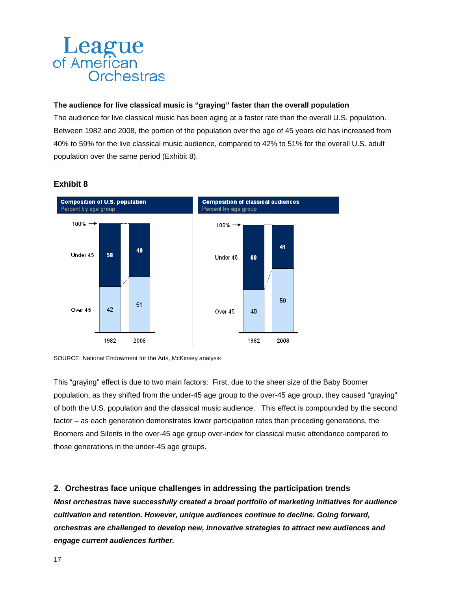### **The audience for live classical music is "graying" faster than the overall population**

The audience for live classical music has been aging at a faster rate than the overall U.S. population. Between 1982 and 2008, the portion of the population over the age of 45 years old has increased from 40% to 59% for the live classical music audience, compared to 42% to 51% for the overall U.S. adult population over the same period (Exhibit 8).



### **Exhibit 8**

SOURCE: National Endowment for the Arts, McKinsey analysis

This "graying" effect is due to two main factors: First, due to the sheer size of the Baby Boomer population, as they shifted from the under-45 age group to the over-45 age group, they caused "graying" of both the U.S. population and the classical music audience. This effect is compounded by the second factor – as each generation demonstrates lower participation rates than preceding generations, the Boomers and Silents in the over-45 age group over-index for classical music attendance compared to those generations in the under-45 age groups.

# **2. Orchestras face unique challenges in addressing the participation trends**

*Most orchestras have successfully created a broad portfolio of marketing initiatives for audience cultivation and retention. However, unique audiences continue to decline. Going forward, orchestras are challenged to develop new, innovative strategies to attract new audiences and engage current audiences further.*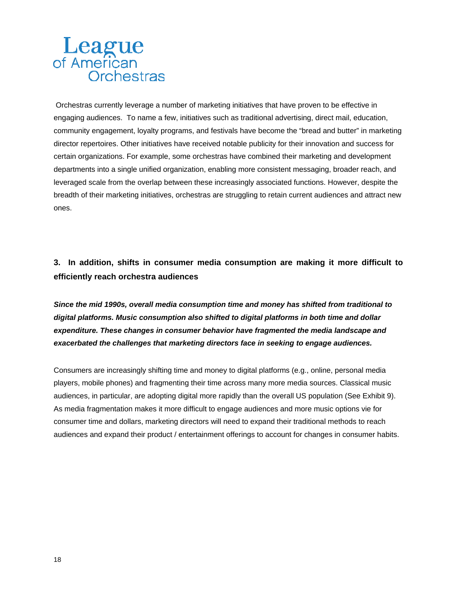Orchestras currently leverage a number of marketing initiatives that have proven to be effective in engaging audiences. To name a few, initiatives such as traditional advertising, direct mail, education, community engagement, loyalty programs, and festivals have become the "bread and butter" in marketing director repertoires. Other initiatives have received notable publicity for their innovation and success for certain organizations. For example, some orchestras have combined their marketing and development departments into a single unified organization, enabling more consistent messaging, broader reach, and leveraged scale from the overlap between these increasingly associated functions. However, despite the breadth of their marketing initiatives, orchestras are struggling to retain current audiences and attract new ones.

# **3. In addition, shifts in consumer media consumption are making it more difficult to efficiently reach orchestra audiences**

*Since the mid 1990s, overall media consumption time and money has shifted from traditional to digital platforms. Music consumption also shifted to digital platforms in both time and dollar expenditure. These changes in consumer behavior have fragmented the media landscape and exacerbated the challenges that marketing directors face in seeking to engage audiences.* 

Consumers are increasingly shifting time and money to digital platforms (e.g., online, personal media players, mobile phones) and fragmenting their time across many more media sources. Classical music audiences, in particular, are adopting digital more rapidly than the overall US population (See Exhibit 9). As media fragmentation makes it more difficult to engage audiences and more music options vie for consumer time and dollars, marketing directors will need to expand their traditional methods to reach audiences and expand their product / entertainment offerings to account for changes in consumer habits.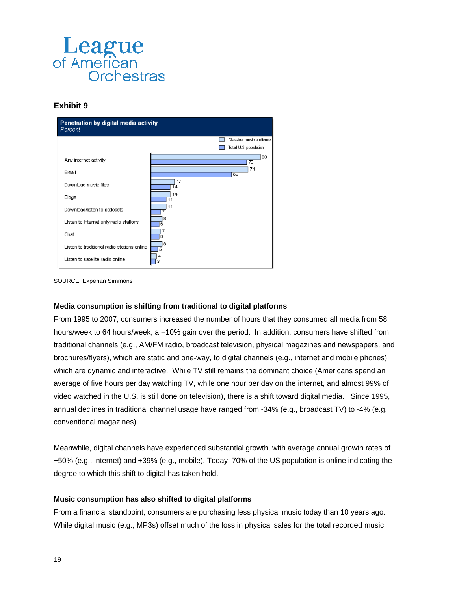

### **Exhibit 9**





#### **Media consumption is shifting from traditional to digital platforms**

From 1995 to 2007, consumers increased the number of hours that they consumed all media from 58 hours/week to 64 hours/week, a +10% gain over the period. In addition, consumers have shifted from traditional channels (e.g., AM/FM radio, broadcast television, physical magazines and newspapers, and brochures/flyers), which are static and one-way, to digital channels (e.g., internet and mobile phones), which are dynamic and interactive. While TV still remains the dominant choice (Americans spend an average of five hours per day watching TV, while one hour per day on the internet, and almost 99% of video watched in the U.S. is still done on television), there is a shift toward digital media. Since 1995, annual declines in traditional channel usage have ranged from -34% (e.g., broadcast TV) to -4% (e.g., conventional magazines).

Meanwhile, digital channels have experienced substantial growth, with average annual growth rates of +50% (e.g., internet) and +39% (e.g., mobile). Today, 70% of the US population is online indicating the degree to which this shift to digital has taken hold.

#### **Music consumption has also shifted to digital platforms**

From a financial standpoint, consumers are purchasing less physical music today than 10 years ago. While digital music (e.g., MP3s) offset much of the loss in physical sales for the total recorded music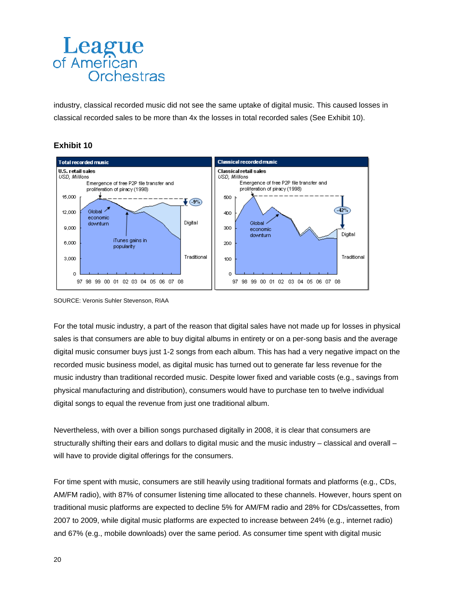industry, classical recorded music did not see the same uptake of digital music. This caused losses in classical recorded sales to be more than 4x the losses in total recorded sales (See Exhibit 10).

### **Exhibit 10**



SOURCE: Veronis Suhler Stevenson, RIAA

For the total music industry, a part of the reason that digital sales have not made up for losses in physical sales is that consumers are able to buy digital albums in entirety or on a per-song basis and the average digital music consumer buys just 1-2 songs from each album. This has had a very negative impact on the recorded music business model, as digital music has turned out to generate far less revenue for the music industry than traditional recorded music. Despite lower fixed and variable costs (e.g., savings from physical manufacturing and distribution), consumers would have to purchase ten to twelve individual digital songs to equal the revenue from just one traditional album.

Nevertheless, with over a billion songs purchased digitally in 2008, it is clear that consumers are structurally shifting their ears and dollars to digital music and the music industry – classical and overall – will have to provide digital offerings for the consumers.

For time spent with music, consumers are still heavily using traditional formats and platforms (e.g., CDs, AM/FM radio), with 87% of consumer listening time allocated to these channels. However, hours spent on traditional music platforms are expected to decline 5% for AM/FM radio and 28% for CDs/cassettes, from 2007 to 2009, while digital music platforms are expected to increase between 24% (e.g., internet radio) and 67% (e.g., mobile downloads) over the same period. As consumer time spent with digital music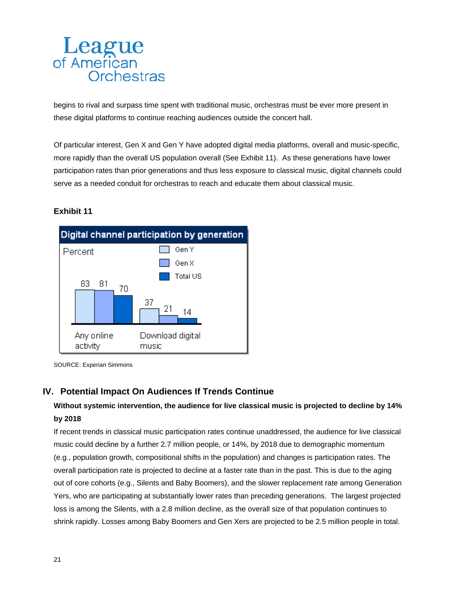begins to rival and surpass time spent with traditional music, orchestras must be ever more present in these digital platforms to continue reaching audiences outside the concert hall.

Of particular interest, Gen X and Gen Y have adopted digital media platforms, overall and music-specific, more rapidly than the overall US population overall (See Exhibit 11). As these generations have lower participation rates than prior generations and thus less exposure to classical music, digital channels could serve as a needed conduit for orchestras to reach and educate them about classical music.

# **Exhibit 11**



SOURCE: Experian Simmons

# **IV. Potential Impact On Audiences If Trends Continue**

# **Without systemic intervention, the audience for live classical music is projected to decline by 14% by 2018**

If recent trends in classical music participation rates continue unaddressed, the audience for live classical music could decline by a further 2.7 million people, or 14%, by 2018 due to demographic momentum (e.g., population growth, compositional shifts in the population) and changes is participation rates. The overall participation rate is projected to decline at a faster rate than in the past. This is due to the aging out of core cohorts (e.g., Silents and Baby Boomers), and the slower replacement rate among Generation Yers, who are participating at substantially lower rates than preceding generations. The largest projected loss is among the Silents, with a 2.8 million decline, as the overall size of that population continues to shrink rapidly. Losses among Baby Boomers and Gen Xers are projected to be 2.5 million people in total.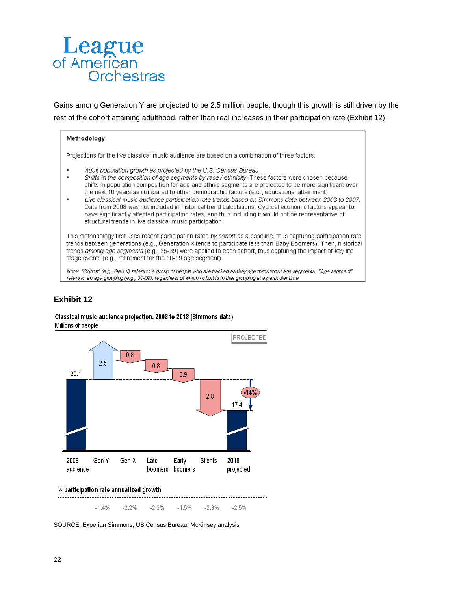Gains among Generation Y are projected to be 2.5 million people, though this growth is still driven by the rest of the cohort attaining adulthood, rather than real increases in their participation rate (Exhibit 12).

#### Methodology

Projections for the live classical music audience are based on a combination of three factors:

- Adult population growth as projected by the U.S. Census Bureau
- × Shifts in the composition of age segments by race / ethnicity. These factors were chosen because shifts in population composition for age and ethnic segments are projected to be more significant over the next 10 years as compared to other demographic factors (e.g., educational attainment)
- Live classical music audience participation rate trends based on Simmons data between 2003 to 2007. Data from 2008 was not included in historical trend calculations. Cyclical economic factors appear to have significantly affected participation rates, and thus including it would not be representative of structural trends in live classical music participation.

This methodology first uses recent participation rates by cohort as a baseline, thus capturing participation rate trends between generations (e.g., Generation X tends to participate less than Baby Boomers). Then, historical trends among age segments (e.g., 35-39) were applied to each cohort, thus capturing the impact of key life stage events (e.g., retirement for the 60-69 age segment).

Note: "Cohort" (e.g., Gen X) refers to a group of people who are tracked as they age throughout age segments. "Age segment" refers to an age grouping (e.g., 35-59), regardless of which cohort is in that grouping at a particular time.

# **Exhibit 12**

#### Classical music audience projection. 2008 to 2018 (Simmons data) Millions of people



 $-1.4%$  $-2.2%$  $-2.2%$  $-1.5%$  $-2.9%$  $-2.5%$ 

SOURCE: Experian Simmons, US Census Bureau, McKinsey analysis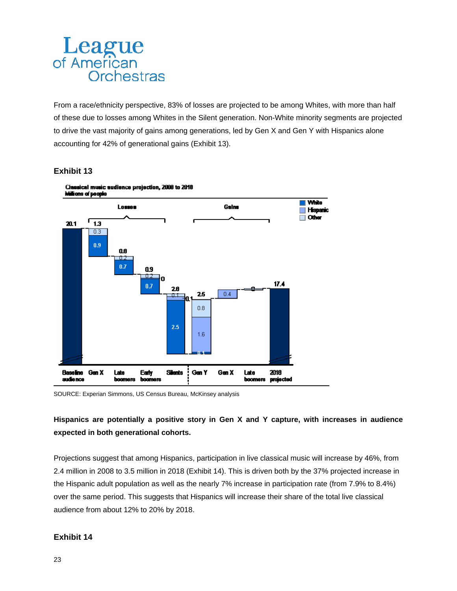From a race/ethnicity perspective, 83% of losses are projected to be among Whites, with more than half of these due to losses among Whites in the Silent generation. Non-White minority segments are projected to drive the vast majority of gains among generations, led by Gen X and Gen Y with Hispanics alone accounting for 42% of generational gains (Exhibit 13).

### **Exhibit 13**



SOURCE: Experian Simmons, US Census Bureau, McKinsey analysis

# **Hispanics are potentially a positive story in Gen X and Y capture, with increases in audience expected in both generational cohorts.**

Projections suggest that among Hispanics, participation in live classical music will increase by 46%, from 2.4 million in 2008 to 3.5 million in 2018 (Exhibit 14). This is driven both by the 37% projected increase in the Hispanic adult population as well as the nearly 7% increase in participation rate (from 7.9% to 8.4%) over the same period. This suggests that Hispanics will increase their share of the total live classical audience from about 12% to 20% by 2018.

# **Exhibit 14**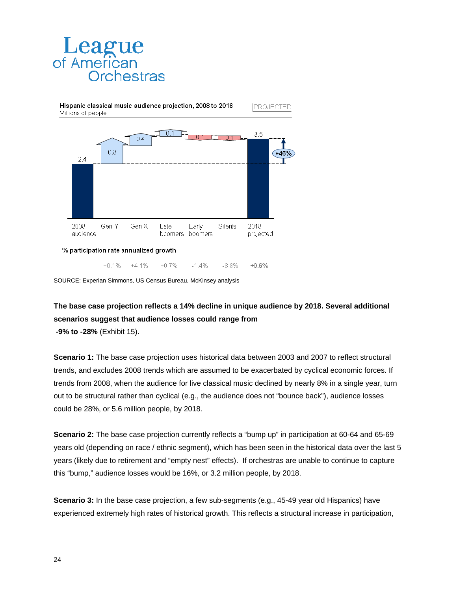

Hispanic classical music audience projection, 2008 to 2018 Millions of people



SOURCE: Experian Simmons, US Census Bureau, McKinsey analysis

# **The base case projection reflects a 14% decline in unique audience by 2018. Several additional scenarios suggest that audience losses could range from**

PROJECTED

 **-9% to -28%** (Exhibit 15).

**Scenario 1:** The base case projection uses historical data between 2003 and 2007 to reflect structural trends, and excludes 2008 trends which are assumed to be exacerbated by cyclical economic forces. If trends from 2008, when the audience for live classical music declined by nearly 8% in a single year, turn out to be structural rather than cyclical (e.g., the audience does not "bounce back"), audience losses could be 28%, or 5.6 million people, by 2018.

**Scenario 2:** The base case projection currently reflects a "bump up" in participation at 60-64 and 65-69 years old (depending on race / ethnic segment), which has been seen in the historical data over the last 5 years (likely due to retirement and "empty nest" effects). If orchestras are unable to continue to capture this "bump," audience losses would be 16%, or 3.2 million people, by 2018.

**Scenario 3:** In the base case projection, a few sub-segments (e.g., 45-49 year old Hispanics) have experienced extremely high rates of historical growth. This reflects a structural increase in participation,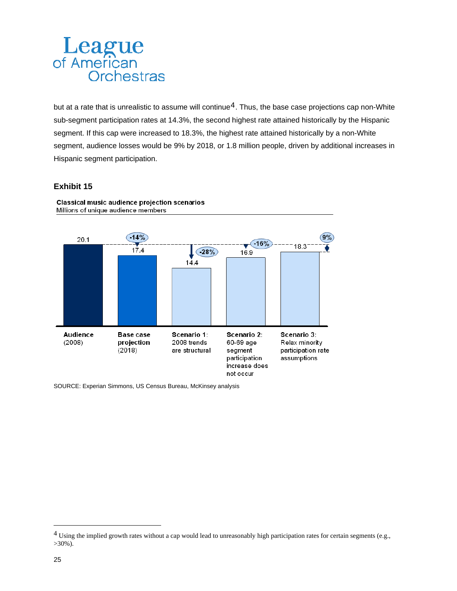but at a rate that is unrealistic to assume will continue<sup>[4](#page-24-0)</sup>. Thus, the base case projections cap non-White sub-segment participation rates at 14.3%, the second highest rate attained historically by the Hispanic segment. If this cap were increased to 18.3%, the highest rate attained historically by a non-White segment, audience losses would be 9% by 2018, or 1.8 million people, driven by additional increases in Hispanic segment participation.

### **Exhibit 15**



Classical music audience projection scenarios Millions of unique audience members

SOURCE: Experian Simmons, US Census Bureau, McKinsey analysis

<span id="page-24-0"></span> $4$  Using the implied growth rates without a cap would lead to unreasonably high participation rates for certain segments (e.g., >30%).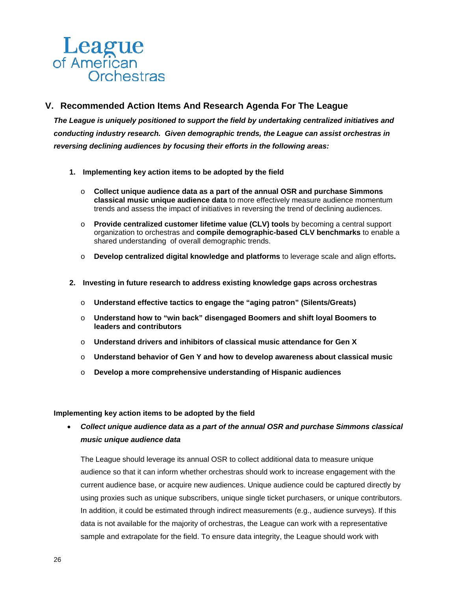# **V. Recommended Action Items And Research Agenda For The League**

*The League is uniquely positioned to support the field by undertaking centralized initiatives and conducting industry research. Given demographic trends, the League can assist orchestras in reversing declining audiences by focusing their efforts in the following areas:* 

- **1. Implementing key action items to be adopted by the field** 
	- o **Collect unique audience data as a part of the annual OSR and purchase Simmons classical music unique audience data** to more effectively measure audience momentum trends and assess the impact of initiatives in reversing the trend of declining audiences.
	- o **Provide centralized customer lifetime value (CLV) tools** by becoming a central support organization to orchestras and **compile demographic-based CLV benchmarks** to enable a shared understanding of overall demographic trends.
	- o **Develop centralized digital knowledge and platforms** to leverage scale and align efforts**.**
- **2. Investing in future research to address existing knowledge gaps across orchestras** 
	- o **Understand effective tactics to engage the "aging patron" (Silents/Greats)**
	- o **Understand how to "win back" disengaged Boomers and shift loyal Boomers to leaders and contributors**
	- o **Understand drivers and inhibitors of classical music attendance for Gen X**
	- o **Understand behavior of Gen Y and how to develop awareness about classical music**
	- o **Develop a more comprehensive understanding of Hispanic audiences**

#### **Implementing key action items to be adopted by the field**

 *Collect unique audience data as a part of the annual OSR and purchase Simmons classical music unique audience data* 

The League should leverage its annual OSR to collect additional data to measure unique audience so that it can inform whether orchestras should work to increase engagement with the current audience base, or acquire new audiences. Unique audience could be captured directly by using proxies such as unique subscribers, unique single ticket purchasers, or unique contributors. In addition, it could be estimated through indirect measurements (e.g., audience surveys). If this data is not available for the majority of orchestras, the League can work with a representative sample and extrapolate for the field. To ensure data integrity, the League should work with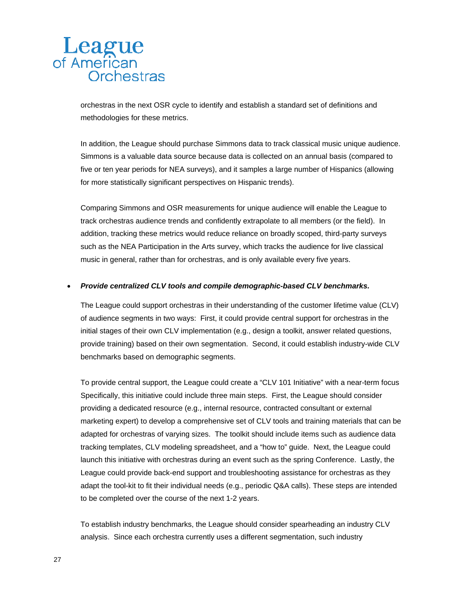orchestras in the next OSR cycle to identify and establish a standard set of definitions and methodologies for these metrics.

In addition, the League should purchase Simmons data to track classical music unique audience. Simmons is a valuable data source because data is collected on an annual basis (compared to five or ten year periods for NEA surveys), and it samples a large number of Hispanics (allowing for more statistically significant perspectives on Hispanic trends).

Comparing Simmons and OSR measurements for unique audience will enable the League to track orchestras audience trends and confidently extrapolate to all members (or the field). In addition, tracking these metrics would reduce reliance on broadly scoped, third-party surveys such as the NEA Participation in the Arts survey, which tracks the audience for live classical music in general, rather than for orchestras, and is only available every five years.

#### *Provide centralized CLV tools and compile demographic-based CLV benchmarks.*

The League could support orchestras in their understanding of the customer lifetime value (CLV) of audience segments in two ways: First, it could provide central support for orchestras in the initial stages of their own CLV implementation (e.g., design a toolkit, answer related questions, provide training) based on their own segmentation. Second, it could establish industry-wide CLV benchmarks based on demographic segments.

To provide central support, the League could create a "CLV 101 Initiative" with a near-term focus Specifically, this initiative could include three main steps. First, the League should consider providing a dedicated resource (e.g., internal resource, contracted consultant or external marketing expert) to develop a comprehensive set of CLV tools and training materials that can be adapted for orchestras of varying sizes. The toolkit should include items such as audience data tracking templates, CLV modeling spreadsheet, and a "how to" guide. Next, the League could launch this initiative with orchestras during an event such as the spring Conference. Lastly, the League could provide back-end support and troubleshooting assistance for orchestras as they adapt the tool-kit to fit their individual needs (e.g., periodic Q&A calls). These steps are intended to be completed over the course of the next 1-2 years.

To establish industry benchmarks, the League should consider spearheading an industry CLV analysis. Since each orchestra currently uses a different segmentation, such industry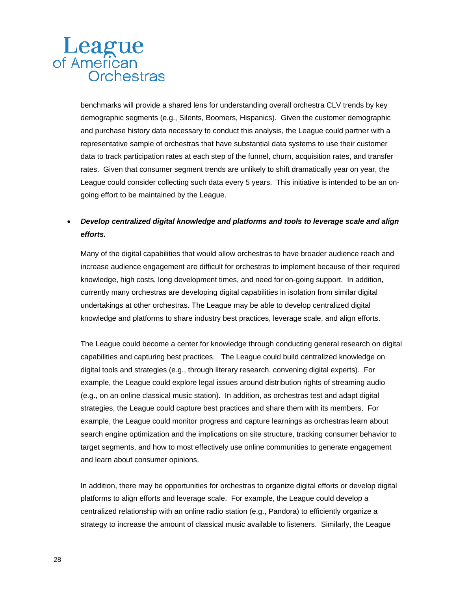benchmarks will provide a shared lens for understanding overall orchestra CLV trends by key demographic segments (e.g., Silents, Boomers, Hispanics). Given the customer demographic and purchase history data necessary to conduct this analysis, the League could partner with a representative sample of orchestras that have substantial data systems to use their customer data to track participation rates at each step of the funnel, churn, acquisition rates, and transfer rates. Given that consumer segment trends are unlikely to shift dramatically year on year, the League could consider collecting such data every 5 years. This initiative is intended to be an ongoing effort to be maintained by the League.

# *Develop centralized digital knowledge and platforms and tools to leverage scale and align efforts.*

Many of the digital capabilities that would allow orchestras to have broader audience reach and increase audience engagement are difficult for orchestras to implement because of their required knowledge, high costs, long development times, and need for on-going support. In addition, currently many orchestras are developing digital capabilities in isolation from similar digital undertakings at other orchestras. The League may be able to develop centralized digital knowledge and platforms to share industry best practices, leverage scale, and align efforts.

The League could become a center for knowledge through conducting general research on digital capabilities and capturing best practices. The League could build centralized knowledge on digital tools and strategies (e.g., through literary research, convening digital experts). For example, the League could explore legal issues around distribution rights of streaming audio (e.g., on an online classical music station). In addition, as orchestras test and adapt digital strategies, the League could capture best practices and share them with its members. For example, the League could monitor progress and capture learnings as orchestras learn about search engine optimization and the implications on site structure, tracking consumer behavior to target segments, and how to most effectively use online communities to generate engagement and learn about consumer opinions.

In addition, there may be opportunities for orchestras to organize digital efforts or develop digital platforms to align efforts and leverage scale. For example, the League could develop a centralized relationship with an online radio station (e.g., Pandora) to efficiently organize a strategy to increase the amount of classical music available to listeners. Similarly, the League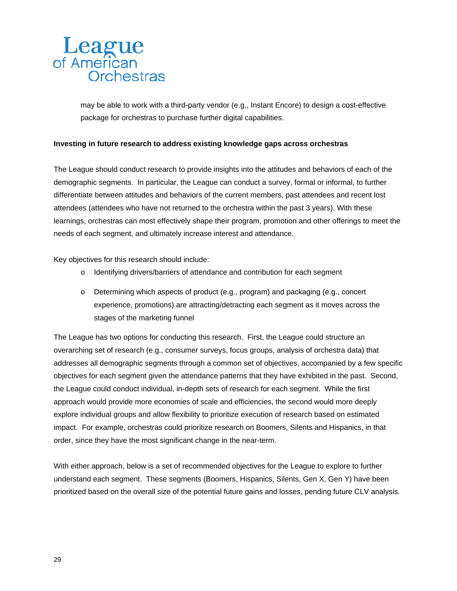may be able to work with a third-party vendor (e.g., Instant Encore) to design a cost-effective package for orchestras to purchase further digital capabilities.

#### **Investing in future research to address existing knowledge gaps across orchestras**

The League should conduct research to provide insights into the attitudes and behaviors of each of the demographic segments. In particular, the League can conduct a survey, formal or informal, to further differentiate between attitudes and behaviors of the current members, past attendees and recent lost attendees (attendees who have not returned to the orchestra within the past 3 years). With these learnings, orchestras can most effectively shape their program, promotion and other offerings to meet the needs of each segment, and ultimately increase interest and attendance.

Key objectives for this research should include:

- o Identifying drivers/barriers of attendance and contribution for each segment
- o Determining which aspects of product (e.g., program) and packaging (e.g., concert experience, promotions) are attracting/detracting each segment as it moves across the stages of the marketing funnel

The League has two options for conducting this research. First, the League could structure an overarching set of research (e.g., consumer surveys, focus groups, analysis of orchestra data) that addresses all demographic segments through a common set of objectives, accompanied by a few specific objectives for each segment given the attendance patterns that they have exhibited in the past. Second, the League could conduct individual, in-depth sets of research for each segment. While the first approach would provide more economies of scale and efficiencies, the second would more deeply explore individual groups and allow flexibility to prioritize execution of research based on estimated impact. For example, orchestras could prioritize research on Boomers, Silents and Hispanics, in that order, since they have the most significant change in the near-term.

With either approach, below is a set of recommended objectives for the League to explore to further understand each segment. These segments (Boomers, Hispanics, Silents, Gen X, Gen Y) have been prioritized based on the overall size of the potential future gains and losses, pending future CLV analysis.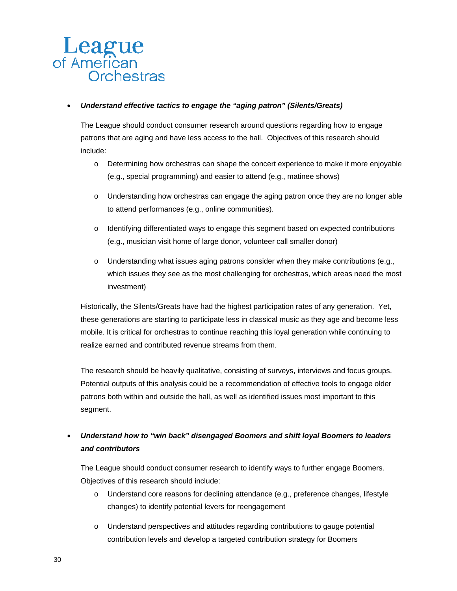### *Understand effective tactics to engage the "aging patron" (Silents/Greats)*

The League should conduct consumer research around questions regarding how to engage patrons that are aging and have less access to the hall. Objectives of this research should include:

- o Determining how orchestras can shape the concert experience to make it more enjoyable (e.g., special programming) and easier to attend (e.g., matinee shows)
- o Understanding how orchestras can engage the aging patron once they are no longer able to attend performances (e.g., online communities).
- o Identifying differentiated ways to engage this segment based on expected contributions (e.g., musician visit home of large donor, volunteer call smaller donor)
- o Understanding what issues aging patrons consider when they make contributions (e.g., which issues they see as the most challenging for orchestras, which areas need the most investment)

Historically, the Silents/Greats have had the highest participation rates of any generation. Yet, these generations are starting to participate less in classical music as they age and become less mobile. It is critical for orchestras to continue reaching this loyal generation while continuing to realize earned and contributed revenue streams from them.

The research should be heavily qualitative, consisting of surveys, interviews and focus groups. Potential outputs of this analysis could be a recommendation of effective tools to engage older patrons both within and outside the hall, as well as identified issues most important to this segment.

# *Understand how to "win back" disengaged Boomers and shift loyal Boomers to leaders and contributors*

The League should conduct consumer research to identify ways to further engage Boomers. Objectives of this research should include:

- o Understand core reasons for declining attendance (e.g., preference changes, lifestyle changes) to identify potential levers for reengagement
- o Understand perspectives and attitudes regarding contributions to gauge potential contribution levels and develop a targeted contribution strategy for Boomers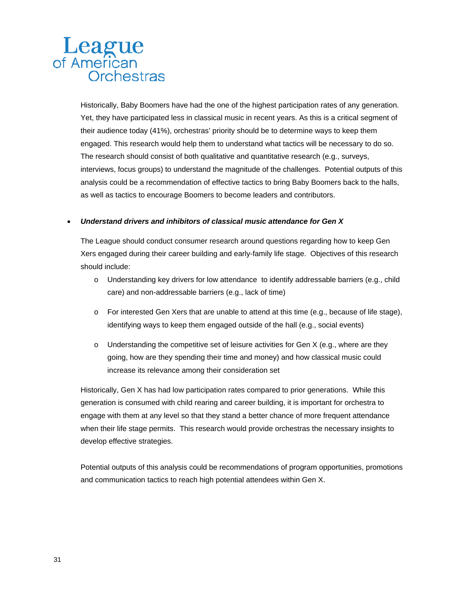Historically, Baby Boomers have had the one of the highest participation rates of any generation. Yet, they have participated less in classical music in recent years. As this is a critical segment of their audience today (41%), orchestras' priority should be to determine ways to keep them engaged. This research would help them to understand what tactics will be necessary to do so. The research should consist of both qualitative and quantitative research (e.g., surveys, interviews, focus groups) to understand the magnitude of the challenges. Potential outputs of this analysis could be a recommendation of effective tactics to bring Baby Boomers back to the halls, as well as tactics to encourage Boomers to become leaders and contributors.

#### *Understand drivers and inhibitors of classical music attendance for Gen X*

The League should conduct consumer research around questions regarding how to keep Gen Xers engaged during their career building and early-family life stage. Objectives of this research should include:

- o Understanding key drivers for low attendance to identify addressable barriers (e.g., child care) and non-addressable barriers (e.g., lack of time)
- o For interested Gen Xers that are unable to attend at this time (e.g., because of life stage), identifying ways to keep them engaged outside of the hall (e.g., social events)
- $\circ$  Understanding the competitive set of leisure activities for Gen X (e.g., where are they going, how are they spending their time and money) and how classical music could increase its relevance among their consideration set

Historically, Gen X has had low participation rates compared to prior generations. While this generation is consumed with child rearing and career building, it is important for orchestra to engage with them at any level so that they stand a better chance of more frequent attendance when their life stage permits. This research would provide orchestras the necessary insights to develop effective strategies.

Potential outputs of this analysis could be recommendations of program opportunities, promotions and communication tactics to reach high potential attendees within Gen X.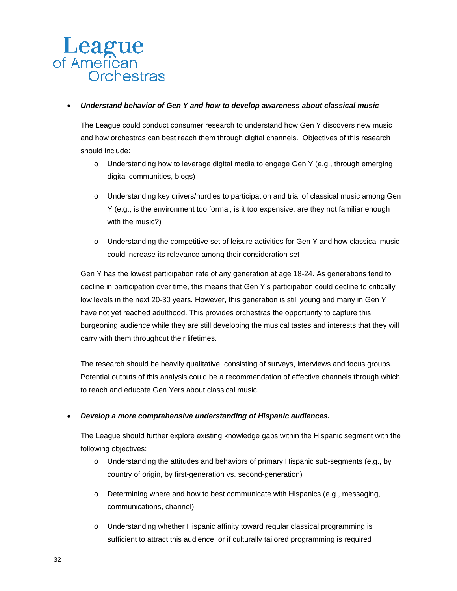#### *Understand behavior of Gen Y and how to develop awareness about classical music*

The League could conduct consumer research to understand how Gen Y discovers new music and how orchestras can best reach them through digital channels. Objectives of this research should include:

- o Understanding how to leverage digital media to engage Gen Y (e.g., through emerging digital communities, blogs)
- o Understanding key drivers/hurdles to participation and trial of classical music among Gen Y (e.g., is the environment too formal, is it too expensive, are they not familiar enough with the music?)
- o Understanding the competitive set of leisure activities for Gen Y and how classical music could increase its relevance among their consideration set

Gen Y has the lowest participation rate of any generation at age 18-24. As generations tend to decline in participation over time, this means that Gen Y's participation could decline to critically low levels in the next 20-30 years. However, this generation is still young and many in Gen Y have not yet reached adulthood. This provides orchestras the opportunity to capture this burgeoning audience while they are still developing the musical tastes and interests that they will carry with them throughout their lifetimes.

The research should be heavily qualitative, consisting of surveys, interviews and focus groups. Potential outputs of this analysis could be a recommendation of effective channels through which to reach and educate Gen Yers about classical music.

### *Develop a more comprehensive understanding of Hispanic audiences.*

The League should further explore existing knowledge gaps within the Hispanic segment with the following objectives:

- $\circ$  Understanding the attitudes and behaviors of primary Hispanic sub-segments (e.g., by country of origin, by first-generation vs. second-generation)
- $\circ$  Determining where and how to best communicate with Hispanics (e.g., messaging, communications, channel)
- o Understanding whether Hispanic affinity toward regular classical programming is sufficient to attract this audience, or if culturally tailored programming is required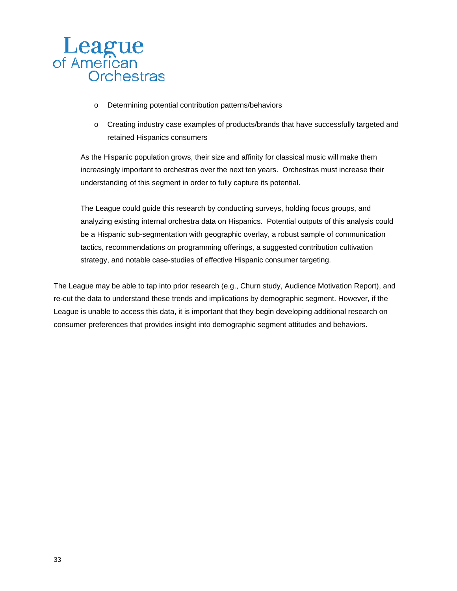

- o Determining potential contribution patterns/behaviors
- o Creating industry case examples of products/brands that have successfully targeted and retained Hispanics consumers

As the Hispanic population grows, their size and affinity for classical music will make them increasingly important to orchestras over the next ten years. Orchestras must increase their understanding of this segment in order to fully capture its potential.

The League could guide this research by conducting surveys, holding focus groups, and analyzing existing internal orchestra data on Hispanics. Potential outputs of this analysis could be a Hispanic sub-segmentation with geographic overlay, a robust sample of communication tactics, recommendations on programming offerings, a suggested contribution cultivation strategy, and notable case-studies of effective Hispanic consumer targeting.

The League may be able to tap into prior research (e.g., Churn study, Audience Motivation Report), and re-cut the data to understand these trends and implications by demographic segment. However, if the League is unable to access this data, it is important that they begin developing additional research on consumer preferences that provides insight into demographic segment attitudes and behaviors.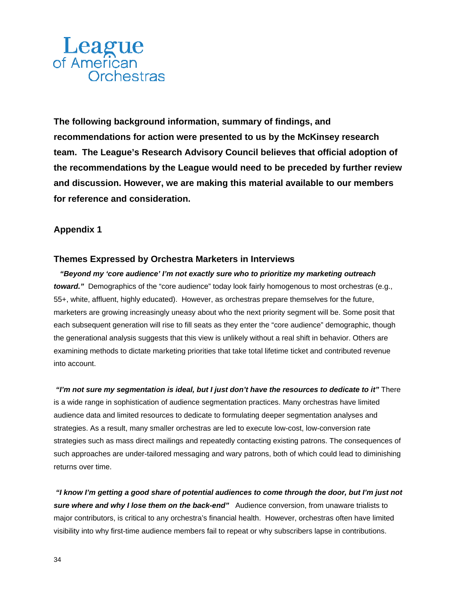**The following background information, summary of findings, and recommendations for action were presented to us by the McKinsey research team. The League's Research Advisory Council believes that official adoption of the recommendations by the League would need to be preceded by further review and discussion. However, we are making this material available to our members for reference and consideration.** 

# **Appendix 1**

### **Themes Expressed by Orchestra Marketers in Interviews**

 *"Beyond my 'core audience' I'm not exactly sure who to prioritize my marketing outreach toward."* Demographics of the "core audience" today look fairly homogenous to most orchestras (e.g., 55+, white, affluent, highly educated). However, as orchestras prepare themselves for the future, marketers are growing increasingly uneasy about who the next priority segment will be. Some posit that each subsequent generation will rise to fill seats as they enter the "core audience" demographic, though the generational analysis suggests that this view is unlikely without a real shift in behavior. Others are examining methods to dictate marketing priorities that take total lifetime ticket and contributed revenue into account.

 *"I'm not sure my segmentation is ideal, but I just don't have the resources to dedicate to it"* There is a wide range in sophistication of audience segmentation practices. Many orchestras have limited audience data and limited resources to dedicate to formulating deeper segmentation analyses and strategies. As a result, many smaller orchestras are led to execute low-cost, low-conversion rate strategies such as mass direct mailings and repeatedly contacting existing patrons. The consequences of such approaches are under-tailored messaging and wary patrons, both of which could lead to diminishing returns over time.

 *"I know I'm getting a good share of potential audiences to come through the door, but I'm just not sure where and why I lose them on the back-end"* Audience conversion, from unaware trialists to major contributors, is critical to any orchestra's financial health. However, orchestras often have limited visibility into why first-time audience members fail to repeat or why subscribers lapse in contributions.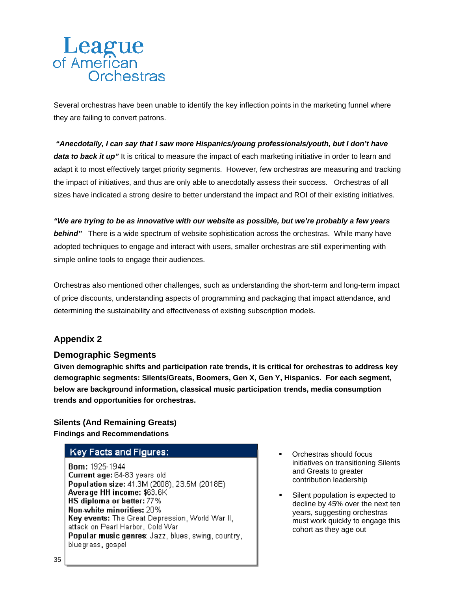Several orchestras have been unable to identify the key inflection points in the marketing funnel where they are failing to convert patrons.

 *"Anecdotally, I can say that I saw more Hispanics/young professionals/youth, but I don't have*  data to back it up" It is critical to measure the impact of each marketing initiative in order to learn and adapt it to most effectively target priority segments. However, few orchestras are measuring and tracking the impact of initiatives, and thus are only able to anecdotally assess their success. Orchestras of all sizes have indicated a strong desire to better understand the impact and ROI of their existing initiatives.

*"We are trying to be as innovative with our website as possible, but we're probably a few years*  **behind**" There is a wide spectrum of website sophistication across the orchestras. While many have adopted techniques to engage and interact with users, smaller orchestras are still experimenting with simple online tools to engage their audiences.

Orchestras also mentioned other challenges, such as understanding the short-term and long-term impact of price discounts, understanding aspects of programming and packaging that impact attendance, and determining the sustainability and effectiveness of existing subscription models.

# **Appendix 2**

# **Demographic Segments**

**Given demographic shifts and participation rate trends, it is critical for orchestras to address key demographic segments: Silents/Greats, Boomers, Gen X, Gen Y, Hispanics. For each segment, below are background information, classical music participation trends, media consumption trends and opportunities for orchestras.** 

### **Silents (And Remaining Greats) Findings and Recommendations**

# **Key Facts and Figures:**

Born: 1925-1944 Current age: 64-83 years old Population size: 41.3M (2008), 23.5M (2018E). Average HH income: \$63.6K HS diploma or better: 77% Non-white minorities: 20% Key events: The Great Depression, World War II, attack on Pearl Harbor, Cold War Popular music genres: Jazz, blues, swing, country, bluegrass gospel

- Orchestras should focus initiatives on transitioning Silents and Greats to greater contribution leadership
- Silent population is expected to decline by 45% over the next ten years, suggesting orchestras must work quickly to engage this cohort as they age out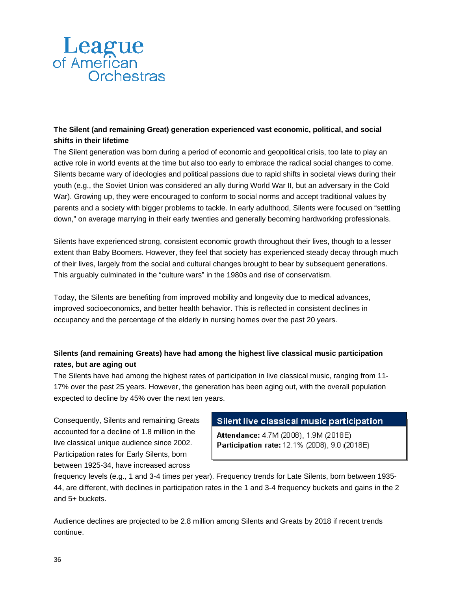# **The Silent (and remaining Great) generation experienced vast economic, political, and social shifts in their lifetime**

The Silent generation was born during a period of economic and geopolitical crisis, too late to play an active role in world events at the time but also too early to embrace the radical social changes to come. Silents became wary of ideologies and political passions due to rapid shifts in societal views during their youth (e.g., the Soviet Union was considered an ally during World War II, but an adversary in the Cold War). Growing up, they were encouraged to conform to social norms and accept traditional values by parents and a society with bigger problems to tackle. In early adulthood, Silents were focused on "settling down," on average marrying in their early twenties and generally becoming hardworking professionals.

Silents have experienced strong, consistent economic growth throughout their lives, though to a lesser extent than Baby Boomers. However, they feel that society has experienced steady decay through much of their lives, largely from the social and cultural changes brought to bear by subsequent generations. This arguably culminated in the "culture wars" in the 1980s and rise of conservatism.

Today, the Silents are benefiting from improved mobility and longevity due to medical advances, improved socioeconomics, and better health behavior. This is reflected in consistent declines in occupancy and the percentage of the elderly in nursing homes over the past 20 years.

# **Silents (and remaining Greats) have had among the highest live classical music participation rates, but are aging out**

The Silents have had among the highest rates of participation in live classical music, ranging from 11- 17% over the past 25 years. However, the generation has been aging out, with the overall population expected to decline by 45% over the next ten years.

Consequently, Silents and remaining Greats accounted for a decline of 1.8 million in the live classical unique audience since 2002. Participation rates for Early Silents, born between 1925-34, have increased across

# Silent live classical music participation

Attendance: 4.7M (2008), 1.9M (2018E) Participation rate: 12.1% (2008), 9.0 (2018E)

frequency levels (e.g., 1 and 3-4 times per year). Frequency trends for Late Silents, born between 1935- 44, are different, with declines in participation rates in the 1 and 3-4 frequency buckets and gains in the 2 and 5+ buckets.

Audience declines are projected to be 2.8 million among Silents and Greats by 2018 if recent trends continue.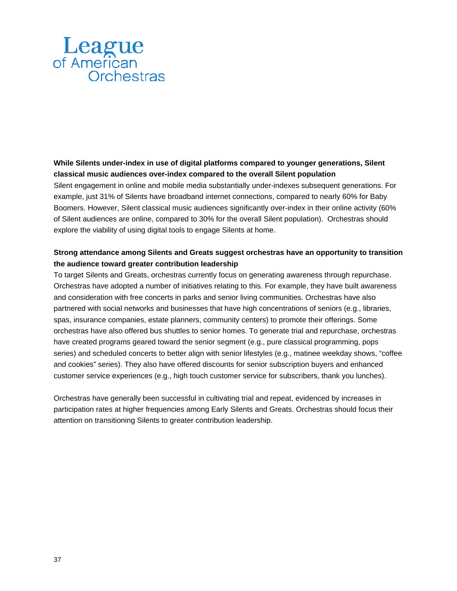### **While Silents under-index in use of digital platforms compared to younger generations, Silent classical music audiences over-index compared to the overall Silent population**

Silent engagement in online and mobile media substantially under-indexes subsequent generations. For example, just 31% of Silents have broadband internet connections, compared to nearly 60% for Baby Boomers. However, Silent classical music audiences significantly over-index in their online activity (60% of Silent audiences are online, compared to 30% for the overall Silent population). Orchestras should explore the viability of using digital tools to engage Silents at home.

## **Strong attendance among Silents and Greats suggest orchestras have an opportunity to transition the audience toward greater contribution leadership**

To target Silents and Greats, orchestras currently focus on generating awareness through repurchase. Orchestras have adopted a number of initiatives relating to this. For example, they have built awareness and consideration with free concerts in parks and senior living communities. Orchestras have also partnered with social networks and businesses that have high concentrations of seniors (e.g., libraries, spas, insurance companies, estate planners, community centers) to promote their offerings. Some orchestras have also offered bus shuttles to senior homes. To generate trial and repurchase, orchestras have created programs geared toward the senior segment (e.g., pure classical programming, pops series) and scheduled concerts to better align with senior lifestyles (e.g., matinee weekday shows, "coffee and cookies" series). They also have offered discounts for senior subscription buyers and enhanced customer service experiences (e.g., high touch customer service for subscribers, thank you lunches).

Orchestras have generally been successful in cultivating trial and repeat, evidenced by increases in participation rates at higher frequencies among Early Silents and Greats. Orchestras should focus their attention on transitioning Silents to greater contribution leadership.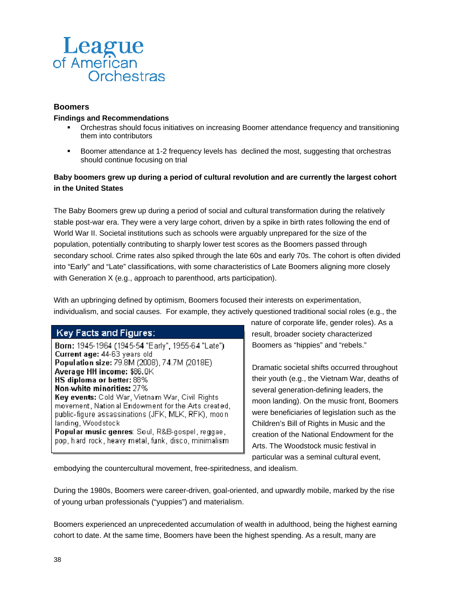

### **Boomers**

#### **Findings and Recommendations**

- Orchestras should focus initiatives on increasing Boomer attendance frequency and transitioning them into contributors
- Boomer attendance at 1-2 frequency levels has declined the most, suggesting that orchestras should continue focusing on trial

### **Baby boomers grew up during a period of cultural revolution and are currently the largest cohort in the United States**

The Baby Boomers grew up during a period of social and cultural transformation during the relatively stable post-war era. They were a very large cohort, driven by a spike in birth rates following the end of World War II. Societal institutions such as schools were arguably unprepared for the size of the population, potentially contributing to sharply lower test scores as the Boomers passed through secondary school. Crime rates also spiked through the late 60s and early 70s. The cohort is often divided into "Early" and "Late" classifications, with some characteristics of Late Boomers aligning more closely with Generation X (e.g., approach to parenthood, arts participation).

With an upbringing defined by optimism, Boomers focused their interests on experimentation, individualism, and social causes. For example, they actively questioned traditional social roles (e.g., the

# **Key Facts and Figures:**

Born: 1945-1964 (1945-54 "Early", 1955-64 "Late") Current age: 44-63 years old Population size: 79.8M (2008), 74.7M (2018E) Average HH income: \$86.0K HS diploma or better: 88% Non-white minorities: 27% Key events: Cold War, Vietnam War, Civil Rights movement, National Endowment for the Arts created, public-figure assassinations (JFK, MLK, RFK), moonlanding, Woodstock Popular music genres: Soul, R&B-gospel, reggae, pop, hard rock, heavy metal, funk, disco, minimalism.

nature of corporate life, gender roles). As a result, broader society characterized Boomers as "hippies" and "rebels."

Dramatic societal shifts occurred throughout their youth (e.g., the Vietnam War, deaths of several generation-defining leaders, the moon landing). On the music front, Boomers were beneficiaries of legislation such as the Children's Bill of Rights in Music and the creation of the National Endowment for the Arts. The Woodstock music festival in particular was a seminal cultural event,

embodying the countercultural movement, free-spiritedness, and idealism.

During the 1980s, Boomers were career-driven, goal-oriented, and upwardly mobile, marked by the rise of young urban professionals ("yuppies") and materialism.

Boomers experienced an unprecedented accumulation of wealth in adulthood, being the highest earning cohort to date. At the same time, Boomers have been the highest spending. As a result, many are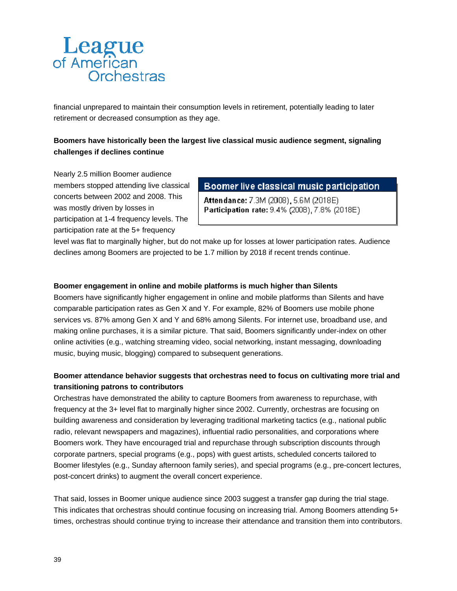financial unprepared to maintain their consumption levels in retirement, potentially leading to later retirement or decreased consumption as they age.

# **Boomers have historically been the largest live classical music audience segment, signaling challenges if declines continue**

Nearly 2.5 million Boomer audience members stopped attending live classical concerts between 2002 and 2008. This was mostly driven by losses in participation at 1-4 frequency levels. The participation rate at the 5+ frequency

Boomer live classical music participation

Attendance: 7.3M (2008), 5.6M (2018E). Participation rate: 9.4% (2008), 7.8% (2018E).

level was flat to marginally higher, but do not make up for losses at lower participation rates. Audience declines among Boomers are projected to be 1.7 million by 2018 if recent trends continue.

### **Boomer engagement in online and mobile platforms is much higher than Silents**

Boomers have significantly higher engagement in online and mobile platforms than Silents and have comparable participation rates as Gen X and Y. For example, 82% of Boomers use mobile phone services vs. 87% among Gen X and Y and 68% among Silents. For internet use, broadband use, and making online purchases, it is a similar picture. That said, Boomers significantly under-index on other online activities (e.g., watching streaming video, social networking, instant messaging, downloading music, buying music, blogging) compared to subsequent generations.

### **Boomer attendance behavior suggests that orchestras need to focus on cultivating more trial and transitioning patrons to contributors**

Orchestras have demonstrated the ability to capture Boomers from awareness to repurchase, with frequency at the 3+ level flat to marginally higher since 2002. Currently, orchestras are focusing on building awareness and consideration by leveraging traditional marketing tactics (e.g., national public radio, relevant newspapers and magazines), influential radio personalities, and corporations where Boomers work. They have encouraged trial and repurchase through subscription discounts through corporate partners, special programs (e.g., pops) with guest artists, scheduled concerts tailored to Boomer lifestyles (e.g., Sunday afternoon family series), and special programs (e.g., pre-concert lectures, post-concert drinks) to augment the overall concert experience.

That said, losses in Boomer unique audience since 2003 suggest a transfer gap during the trial stage. This indicates that orchestras should continue focusing on increasing trial. Among Boomers attending 5+ times, orchestras should continue trying to increase their attendance and transition them into contributors.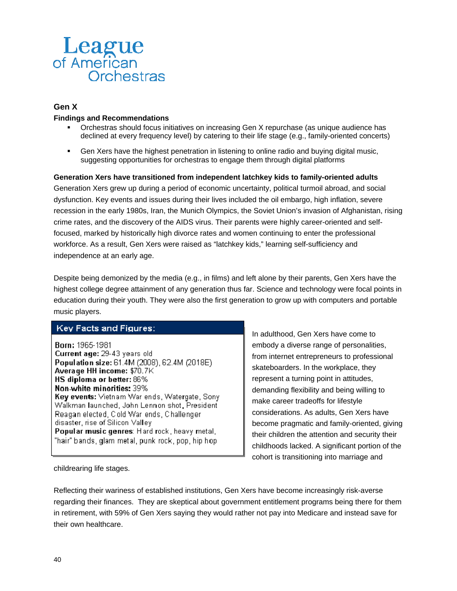

### **Gen X**

#### **Findings and Recommendations**

- Orchestras should focus initiatives on increasing Gen X repurchase (as unique audience has declined at every frequency level) by catering to their life stage (e.g., family-oriented concerts)
- Gen Xers have the highest penetration in listening to online radio and buying digital music, suggesting opportunities for orchestras to engage them through digital platforms

**Generation Xers have transitioned from independent latchkey kids to family-oriented adults**  Generation Xers grew up during a period of economic uncertainty, political turmoil abroad, and social dysfunction. Key events and issues during their lives included the oil embargo, high inflation, severe recession in the early 1980s, Iran, the Munich Olympics, the Soviet Union's invasion of Afghanistan, rising crime rates, and the discovery of the AIDS virus. Their parents were highly career-oriented and selffocused, marked by historically high divorce rates and women continuing to enter the professional workforce. As a result, Gen Xers were raised as "latchkey kids," learning self-sufficiency and independence at an early age.

Despite being demonized by the media (e.g., in films) and left alone by their parents, Gen Xers have the highest college degree attainment of any generation thus far. Science and technology were focal points in education during their youth. They were also the first generation to grow up with computers and portable music players.

### **Key Facts and Figures:**

Born: 1965-1981 Current age: 29-43 years old Population size: 61.4M (2008), 62.4M (2018E) Average HH income: \$70.7K HS diploma or better: 86% Non-white minorities: 39% Key events: Vietnam War ends, Watergate, Sony Walkman launched, John Lennon shot, President Reagan elected, Cold Warlends, Challenger disaster, rise of Silicon Valley Popular music genres: Hard rock, heavy metal, "hair" bands, glam metal, punk rock, pop, hip hop-

In adulthood, Gen Xers have come to embody a diverse range of personalities, from internet entrepreneurs to professional skateboarders. In the workplace, they represent a turning point in attitudes, demanding flexibility and being willing to make career tradeoffs for lifestyle considerations. As adults, Gen Xers have become pragmatic and family-oriented, giving their children the attention and security their childhoods lacked. A significant portion of the cohort is transitioning into marriage and

childrearing life stages.

Reflecting their wariness of established institutions, Gen Xers have become increasingly risk-averse regarding their finances. They are skeptical about government entitlement programs being there for them in retirement, with 59% of Gen Xers saying they would rather not pay into Medicare and instead save for their own healthcare.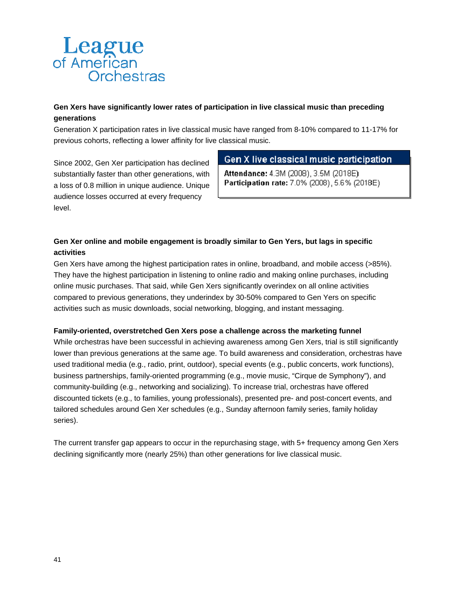# **Gen Xers have significantly lower rates of participation in live classical music than preceding generations**

Generation X participation rates in live classical music have ranged from 8-10% compared to 11-17% for previous cohorts, reflecting a lower affinity for live classical music.

Since 2002, Gen Xer participation has declined substantially faster than other generations, with a loss of 0.8 million in unique audience. Unique audience losses occurred at every frequency level.

# Gen X live classical music participation

Attendance: 4.3M (2008), 3.5M (2018E). Participation rate: 7.0% (2008), 5.6% (2018E)

# **Gen Xer online and mobile engagement is broadly similar to Gen Yers, but lags in specific activities**

Gen Xers have among the highest participation rates in online, broadband, and mobile access (>85%). They have the highest participation in listening to online radio and making online purchases, including online music purchases. That said, while Gen Xers significantly overindex on all online activities compared to previous generations, they underindex by 30-50% compared to Gen Yers on specific activities such as music downloads, social networking, blogging, and instant messaging.

### **Family-oriented, overstretched Gen Xers pose a challenge across the marketing funnel**

While orchestras have been successful in achieving awareness among Gen Xers, trial is still significantly lower than previous generations at the same age. To build awareness and consideration, orchestras have used traditional media (e.g., radio, print, outdoor), special events (e.g., public concerts, work functions), business partnerships, family-oriented programming (e.g., movie music, "Cirque de Symphony"), and community-building (e.g., networking and socializing). To increase trial, orchestras have offered discounted tickets (e.g., to families, young professionals), presented pre- and post-concert events, and tailored schedules around Gen Xer schedules (e.g., Sunday afternoon family series, family holiday series).

The current transfer gap appears to occur in the repurchasing stage, with 5+ frequency among Gen Xers declining significantly more (nearly 25%) than other generations for live classical music.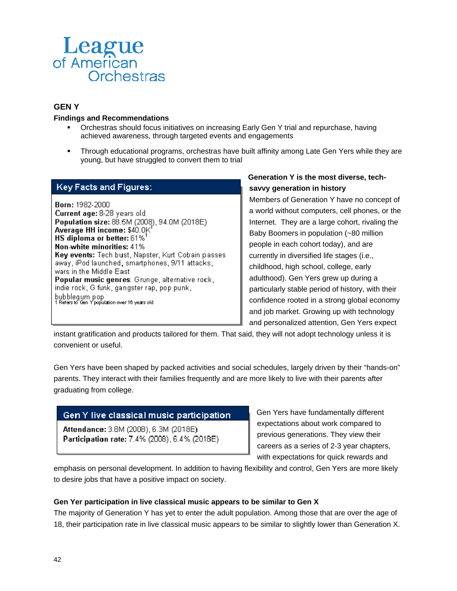

### **GEN Y**

#### **Findings and Recommendations**

- Orchestras should focus initiatives on increasing Early Gen Y trial and repurchase, having achieved awareness, through targeted events and engagements
- Through educational programs, orchestras have built affinity among Late Gen Yers while they are young, but have struggled to convert them to trial

### **Key Facts and Figures:**

Born: 1982-2000 Current age: 8-28 years old Population size: 88.5M (2008), 94.0M (2018E) Average HH income: \$40.0K HS diploma or better:  $61\%$ <sup>1</sup> Non-white minorities: 41% Key events: Tech bust, Napster, Kurt Cobain passes away, iPod launched, smartphones, 9/11 attacks, wars in the Middle East Popular music genres: Grunge, alternative rock, indie rock, G funk, gangster rap, pop punk, bubblegum pop<br>1 Refers to Gen Y population over 16 years old

### **Generation Y is the most diverse, techsavvy generation in history**

Members of Generation Y have no concept of a world without computers, cell phones, or the Internet. They are a large cohort, rivaling the Baby Boomers in population (~80 million people in each cohort today), and are currently in diversified life stages (i.e., childhood, high school, college, early adulthood). Gen Yers grew up during a particularly stable period of history, with their confidence rooted in a strong global economy and job market. Growing up with technology and personalized attention, Gen Yers expect

instant gratification and products tailored for them. That said, they will not adopt technology unless it is convenient or useful.

Gen Yers have been shaped by packed activities and social schedules, largely driven by their "hands-on" parents. They interact with their families frequently and are more likely to live with their parents after graduating from college.

### Gen Y live classical music participation

Attendance: 3.8M (2008), 6.3M (2018E) Participation rate: 7.4% (2008), 6.4% (2018E) Gen Yers have fundamentally different expectations about work compared to previous generations. They view their careers as a series of 2-3 year chapters, with expectations for quick rewards and

emphasis on personal development. In addition to having flexibility and control, Gen Yers are more likely to desire jobs that have a positive impact on society.

#### **Gen Yer participation in live classical music appears to be similar to Gen X**

The majority of Generation Y has yet to enter the adult population. Among those that are over the age of 18, their participation rate in live classical music appears to be similar to slightly lower than Generation X.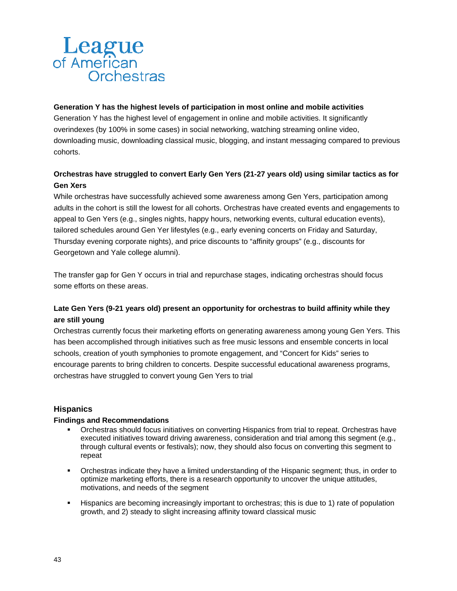### **Generation Y has the highest levels of participation in most online and mobile activities**

Generation Y has the highest level of engagement in online and mobile activities. It significantly overindexes (by 100% in some cases) in social networking, watching streaming online video, downloading music, downloading classical music, blogging, and instant messaging compared to previous cohorts.

# **Orchestras have struggled to convert Early Gen Yers (21-27 years old) using similar tactics as for Gen Xers**

While orchestras have successfully achieved some awareness among Gen Yers, participation among adults in the cohort is still the lowest for all cohorts. Orchestras have created events and engagements to appeal to Gen Yers (e.g., singles nights, happy hours, networking events, cultural education events), tailored schedules around Gen Yer lifestyles (e.g., early evening concerts on Friday and Saturday, Thursday evening corporate nights), and price discounts to "affinity groups" (e.g., discounts for Georgetown and Yale college alumni).

The transfer gap for Gen Y occurs in trial and repurchase stages, indicating orchestras should focus some efforts on these areas.

# **Late Gen Yers (9-21 years old) present an opportunity for orchestras to build affinity while they are still young**

Orchestras currently focus their marketing efforts on generating awareness among young Gen Yers. This has been accomplished through initiatives such as free music lessons and ensemble concerts in local schools, creation of youth symphonies to promote engagement, and "Concert for Kids" series to encourage parents to bring children to concerts. Despite successful educational awareness programs, orchestras have struggled to convert young Gen Yers to trial

### **Hispanics**

#### **Findings and Recommendations**

- Orchestras should focus initiatives on converting Hispanics from trial to repeat. Orchestras have executed initiatives toward driving awareness, consideration and trial among this segment (e.g., through cultural events or festivals); now, they should also focus on converting this segment to repeat
- Orchestras indicate they have a limited understanding of the Hispanic segment; thus, in order to optimize marketing efforts, there is a research opportunity to uncover the unique attitudes, motivations, and needs of the segment
- Hispanics are becoming increasingly important to orchestras; this is due to 1) rate of population growth, and 2) steady to slight increasing affinity toward classical music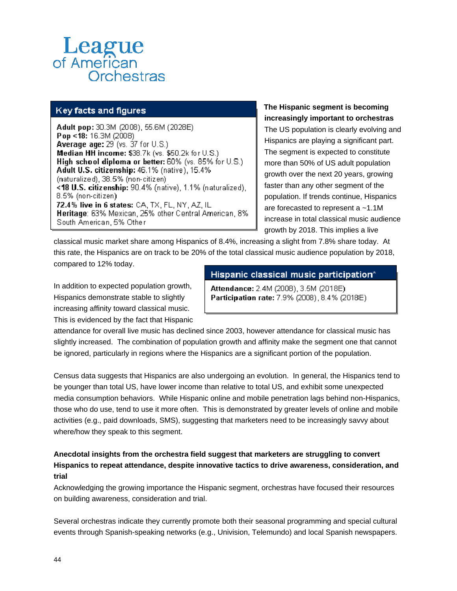## Key facts and figures

Adult pop: 30.3M (2008), 55.6M (2028E) Pop <18: 16.3M (2008) **Average age:**  $29$  (vs.  $37$  for  $U.S.)$ Median HH income: \$38.7k (vs. \$50.2k for U.S.). High school diploma or better: 60% (vs. 85% for U.S.) Adult U.S. citizenship: 46.1% (native), 15.4% (naturalized), 38.5% (non-citizen) <18 U.S. citizenship: 90.4% (native), 1.1% (naturalized), 8.5% (non-citizen). 72.4% live in 6 states: CA, TX, FL, NY, AZ, IL Heritage: 63% Mexican, 25% other Central American, 8% South American, 5% Other

# **The Hispanic segment is becoming increasingly important to orchestras**

The US population is clearly evolving and Hispanics are playing a significant part. The segment is expected to constitute more than 50% of US adult population growth over the next 20 years, growing faster than any other segment of the population. If trends continue, Hispanics are forecasted to represent a ~1.1M increase in total classical music audience growth by 2018. This implies a live

classical music market share among Hispanics of 8.4%, increasing a slight from 7.8% share today. At this rate, the Hispanics are on track to be 20% of the total classical music audience population by 2018, compared to 12% today.

In addition to expected population growth, Hispanics demonstrate stable to slightly increasing affinity toward classical music. This is evidenced by the fact that Hispanic

### Hispanic classical music participation\*

Attendance: 2.4M (2008), 3.5M (2018E). Participation rate: 7.9% (2008), 8.4% (2018E)

attendance for overall live music has declined since 2003, however attendance for classical music has slightly increased. The combination of population growth and affinity make the segment one that cannot be ignored, particularly in regions where the Hispanics are a significant portion of the population.

Census data suggests that Hispanics are also undergoing an evolution. In general, the Hispanics tend to be younger than total US, have lower income than relative to total US, and exhibit some unexpected media consumption behaviors. While Hispanic online and mobile penetration lags behind non-Hispanics, those who do use, tend to use it more often. This is demonstrated by greater levels of online and mobile activities (e.g., paid downloads, SMS), suggesting that marketers need to be increasingly savvy about where/how they speak to this segment.

### **Anecdotal insights from the orchestra field suggest that marketers are struggling to convert Hispanics to repeat attendance, despite innovative tactics to drive awareness, consideration, and trial**

Acknowledging the growing importance the Hispanic segment, orchestras have focused their resources on building awareness, consideration and trial.

Several orchestras indicate they currently promote both their seasonal programming and special cultural events through Spanish-speaking networks (e.g., Univision, Telemundo) and local Spanish newspapers.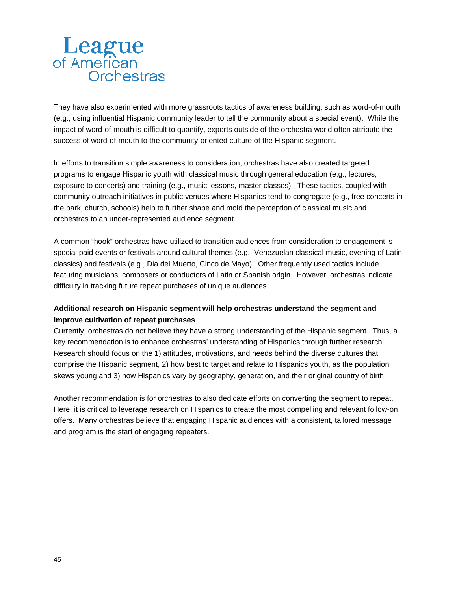They have also experimented with more grassroots tactics of awareness building, such as word-of-mouth (e.g., using influential Hispanic community leader to tell the community about a special event). While the impact of word-of-mouth is difficult to quantify, experts outside of the orchestra world often attribute the success of word-of-mouth to the community-oriented culture of the Hispanic segment.

In efforts to transition simple awareness to consideration, orchestras have also created targeted programs to engage Hispanic youth with classical music through general education (e.g., lectures, exposure to concerts) and training (e.g., music lessons, master classes). These tactics, coupled with community outreach initiatives in public venues where Hispanics tend to congregate (e.g., free concerts in the park, church, schools) help to further shape and mold the perception of classical music and orchestras to an under-represented audience segment.

A common "hook" orchestras have utilized to transition audiences from consideration to engagement is special paid events or festivals around cultural themes (e.g., Venezuelan classical music, evening of Latin classics) and festivals (e.g., Dia del Muerto, Cinco de Mayo). Other frequently used tactics include featuring musicians, composers or conductors of Latin or Spanish origin. However, orchestras indicate difficulty in tracking future repeat purchases of unique audiences.

### **Additional research on Hispanic segment will help orchestras understand the segment and improve cultivation of repeat purchases**

Currently, orchestras do not believe they have a strong understanding of the Hispanic segment. Thus, a key recommendation is to enhance orchestras' understanding of Hispanics through further research. Research should focus on the 1) attitudes, motivations, and needs behind the diverse cultures that comprise the Hispanic segment, 2) how best to target and relate to Hispanics youth, as the population skews young and 3) how Hispanics vary by geography, generation, and their original country of birth.

Another recommendation is for orchestras to also dedicate efforts on converting the segment to repeat. Here, it is critical to leverage research on Hispanics to create the most compelling and relevant follow-on offers. Many orchestras believe that engaging Hispanic audiences with a consistent, tailored message and program is the start of engaging repeaters.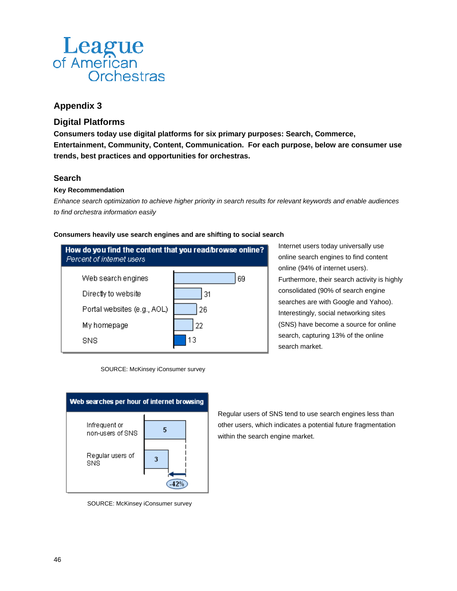# **Appendix 3**

# **Digital Platforms**

**Consumers today use digital platforms for six primary purposes: Search, Commerce, Entertainment, Community, Content, Communication. For each purpose, below are consumer use trends, best practices and opportunities for orchestras.** 

### **Search**

### **Key Recommendation**

*Enhance search optimization to achieve higher priority in search results for relevant keywords and enable audiences to find orchestra information easily* 

#### **Consumers heavily use search engines and are shifting to social search**



Internet users today universally use online search engines to find content online (94% of internet users). Furthermore, their search activity is highly consolidated (90% of search engine searches are with Google and Yahoo). Interestingly, social networking sites (SNS) have become a source for online search, capturing 13% of the online search market.





SOURCE: McKinsey iConsumer survey

Regular users of SNS tend to use search engines less than other users, which indicates a potential future fragmentation within the search engine market.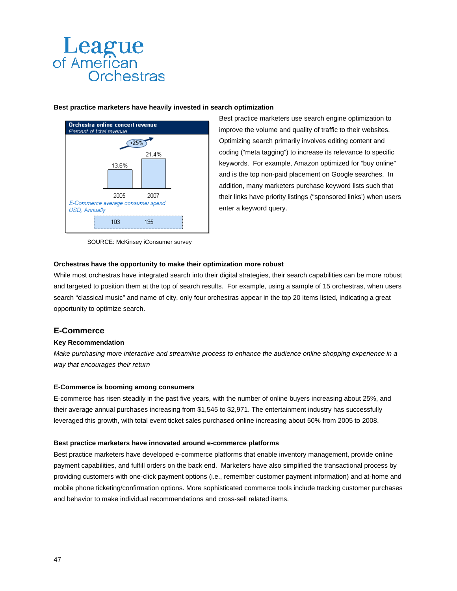# **Best practice marketers have heavily invested in search optimization**



SOURCE: McKinsey iConsumer survey

Best practice marketers use search engine optimization to improve the volume and quality of traffic to their websites. Optimizing search primarily involves editing content and coding ("meta tagging") to increase its relevance to specific keywords. For example, Amazon optimized for "buy online" and is the top non-paid placement on Google searches. In addition, many marketers purchase keyword lists such that their links have priority listings ("sponsored links') when users enter a keyword query.

#### **Orchestras have the opportunity to make their optimization more robust**

While most orchestras have integrated search into their digital strategies, their search capabilities can be more robust and targeted to position them at the top of search results. For example, using a sample of 15 orchestras, when users search "classical music" and name of city, only four orchestras appear in the top 20 items listed, indicating a great opportunity to optimize search.

### **E-Commerce**

#### **Key Recommendation**

*Make purchasing more interactive and streamline process to enhance the audience online shopping experience in a way that encourages their return* 

#### **E-Commerce is booming among consumers**

E-commerce has risen steadily in the past five years, with the number of online buyers increasing about 25%, and their average annual purchases increasing from \$1,545 to \$2,971. The entertainment industry has successfully leveraged this growth, with total event ticket sales purchased online increasing about 50% from 2005 to 2008.

#### **Best practice marketers have innovated around e-commerce platforms**

Best practice marketers have developed e-commerce platforms that enable inventory management, provide online payment capabilities, and fulfill orders on the back end. Marketers have also simplified the transactional process by providing customers with one-click payment options (i.e., remember customer payment information) and at-home and mobile phone ticketing/confirmation options. More sophisticated commerce tools include tracking customer purchases and behavior to make individual recommendations and cross-sell related items.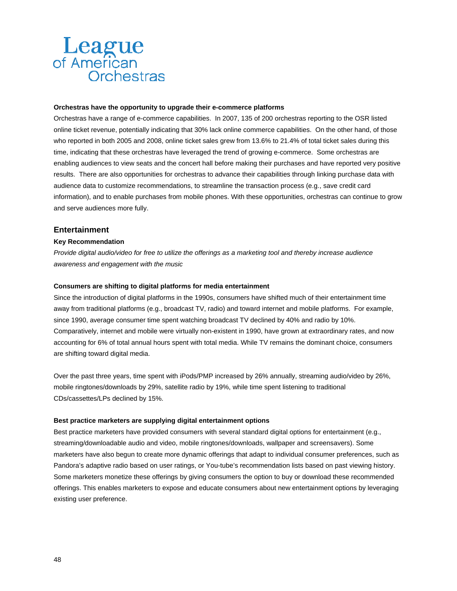#### **Orchestras have the opportunity to upgrade their e-commerce platforms**

Orchestras have a range of e-commerce capabilities. In 2007, 135 of 200 orchestras reporting to the OSR listed online ticket revenue, potentially indicating that 30% lack online commerce capabilities. On the other hand, of those who reported in both 2005 and 2008, online ticket sales grew from 13.6% to 21.4% of total ticket sales during this time, indicating that these orchestras have leveraged the trend of growing e-commerce. Some orchestras are enabling audiences to view seats and the concert hall before making their purchases and have reported very positive results. There are also opportunities for orchestras to advance their capabilities through linking purchase data with audience data to customize recommendations, to streamline the transaction process (e.g., save credit card information), and to enable purchases from mobile phones. With these opportunities, orchestras can continue to grow and serve audiences more fully.

#### **Entertainment**

#### **Key Recommendation**

*Provide digital audio/video for free to utilize the offerings as a marketing tool and thereby increase audience awareness and engagement with the music* 

#### **Consumers are shifting to digital platforms for media entertainment**

Since the introduction of digital platforms in the 1990s, consumers have shifted much of their entertainment time away from traditional platforms (e.g., broadcast TV, radio) and toward internet and mobile platforms. For example, since 1990, average consumer time spent watching broadcast TV declined by 40% and radio by 10%. Comparatively, internet and mobile were virtually non-existent in 1990, have grown at extraordinary rates, and now accounting for 6% of total annual hours spent with total media. While TV remains the dominant choice, consumers are shifting toward digital media.

Over the past three years, time spent with iPods/PMP increased by 26% annually, streaming audio/video by 26%, mobile ringtones/downloads by 29%, satellite radio by 19%, while time spent listening to traditional CDs/cassettes/LPs declined by 15%.

#### **Best practice marketers are supplying digital entertainment options**

Best practice marketers have provided consumers with several standard digital options for entertainment (e.g., streaming/downloadable audio and video, mobile ringtones/downloads, wallpaper and screensavers). Some marketers have also begun to create more dynamic offerings that adapt to individual consumer preferences, such as Pandora's adaptive radio based on user ratings, or You-tube's recommendation lists based on past viewing history. Some marketers monetize these offerings by giving consumers the option to buy or download these recommended offerings. This enables marketers to expose and educate consumers about new entertainment options by leveraging existing user preference.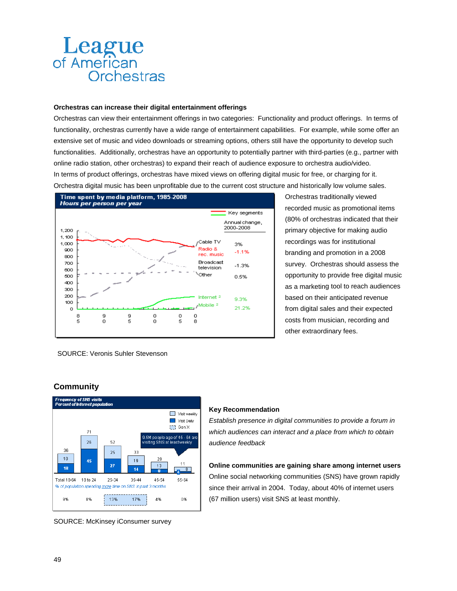#### **Orchestras can increase their digital entertainment offerings**

Orchestras can view their entertainment offerings in two categories: Functionality and product offerings. In terms of functionality, orchestras currently have a wide range of entertainment capabilities. For example, while some offer an extensive set of music and video downloads or streaming options, others still have the opportunity to develop such functionalities. Additionally, orchestras have an opportunity to potentially partner with third-parties (e.g., partner with online radio station, other orchestras) to expand their reach of audience exposure to orchestra audio/video. In terms of product offerings, orchestras have mixed views on offering digital music for free, or charging for it. Orchestra digital music has been unprofitable due to the current cost structure and historically low volume sales.



Orchestras traditionally viewed recorded music as promotional items (80% of orchestras indicated that their primary objective for making audio recordings was for institutional branding and promotion in a 2008 survey. Orchestras should assess the opportunity to provide free digital music as a marketing tool to reach audiences based on their anticipated revenue from digital sales and their expected costs from musician, recording and other extraordinary fees.

SOURCE: Veronis Suhler Stevenson

**Community** 



SOURCE: McKinsey iConsumer survey

#### **Key Recommendation**

*Establish presence in digital communities to provide a forum in which audiences can interact and a place from which to obtain audience feedback* 

**Online communities are gaining share among internet users**  Online social networking communities (SNS) have grown rapidly since their arrival in 2004. Today, about 40% of internet users (67 million users) visit SNS at least monthly.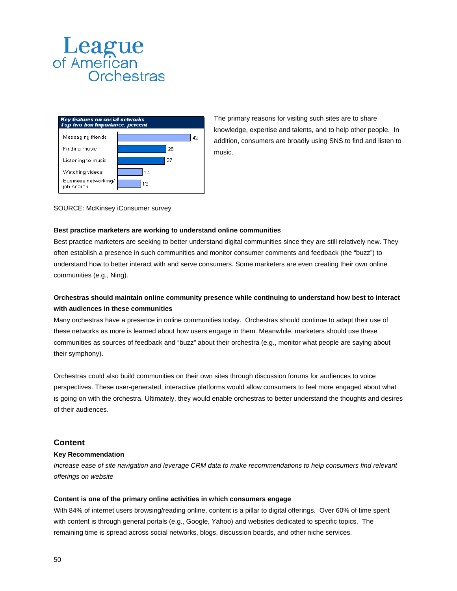

The primary reasons for visiting such sites are to share knowledge, expertise and talents, and to help other people. In addition, consumers are broadly using SNS to find and listen to music.

#### SOURCE: McKinsey iConsumer survey

#### **Best practice marketers are working to understand online communities**

Best practice marketers are seeking to better understand digital communities since they are still relatively new. They often establish a presence in such communities and monitor consumer comments and feedback (the "buzz") to understand how to better interact with and serve consumers. Some marketers are even creating their own online communities (e.g., Ning).

### **Orchestras should maintain online community presence while continuing to understand how best to interact with audiences in these communities**

Many orchestras have a presence in online communities today. Orchestras should continue to adapt their use of these networks as more is learned about how users engage in them. Meanwhile, marketers should use these communities as sources of feedback and "buzz" about their orchestra (e.g., monitor what people are saying about their symphony).

Orchestras could also build communities on their own sites through discussion forums for audiences to voice perspectives. These user-generated, interactive platforms would allow consumers to feel more engaged about what is going on with the orchestra. Ultimately, they would enable orchestras to better understand the thoughts and desires of their audiences.

#### **Content**

#### **Key Recommendation**

*Increase ease of site navigation and leverage CRM data to make recommendations to help consumers find relevant offerings on website* 

#### **Content is one of the primary online activities in which consumers engage**

With 84% of internet users browsing/reading online, content is a pillar to digital offerings. Over 60% of time spent with content is through general portals (e.g., Google, Yahoo) and websites dedicated to specific topics. The remaining time is spread across social networks, blogs, discussion boards, and other niche services.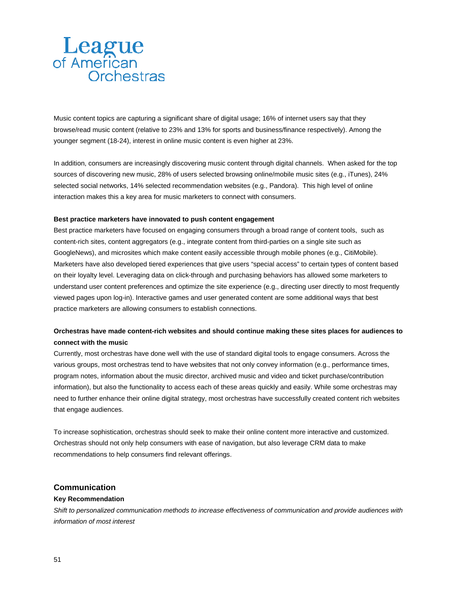Music content topics are capturing a significant share of digital usage; 16% of internet users say that they browse/read music content (relative to 23% and 13% for sports and business/finance respectively). Among the younger segment (18-24), interest in online music content is even higher at 23%.

In addition, consumers are increasingly discovering music content through digital channels. When asked for the top sources of discovering new music, 28% of users selected browsing online/mobile music sites (e.g., iTunes), 24% selected social networks, 14% selected recommendation websites (e.g., Pandora). This high level of online interaction makes this a key area for music marketers to connect with consumers.

#### **Best practice marketers have innovated to push content engagement**

Best practice marketers have focused on engaging consumers through a broad range of content tools, such as content-rich sites, content aggregators (e.g., integrate content from third-parties on a single site such as GoogleNews), and microsites which make content easily accessible through mobile phones (e.g., CitiMobile). Marketers have also developed tiered experiences that give users "special access" to certain types of content based on their loyalty level. Leveraging data on click-through and purchasing behaviors has allowed some marketers to understand user content preferences and optimize the site experience (e.g., directing user directly to most frequently viewed pages upon log-in). Interactive games and user generated content are some additional ways that best practice marketers are allowing consumers to establish connections.

#### **Orchestras have made content-rich websites and should continue making these sites places for audiences to connect with the music**

Currently, most orchestras have done well with the use of standard digital tools to engage consumers. Across the various groups, most orchestras tend to have websites that not only convey information (e.g., performance times, program notes, information about the music director, archived music and video and ticket purchase/contribution information), but also the functionality to access each of these areas quickly and easily. While some orchestras may need to further enhance their online digital strategy, most orchestras have successfully created content rich websites that engage audiences.

To increase sophistication, orchestras should seek to make their online content more interactive and customized. Orchestras should not only help consumers with ease of navigation, but also leverage CRM data to make recommendations to help consumers find relevant offerings.

#### **Communication**

#### **Key Recommendation**

*Shift to personalized communication methods to increase effectiveness of communication and provide audiences with information of most interest*